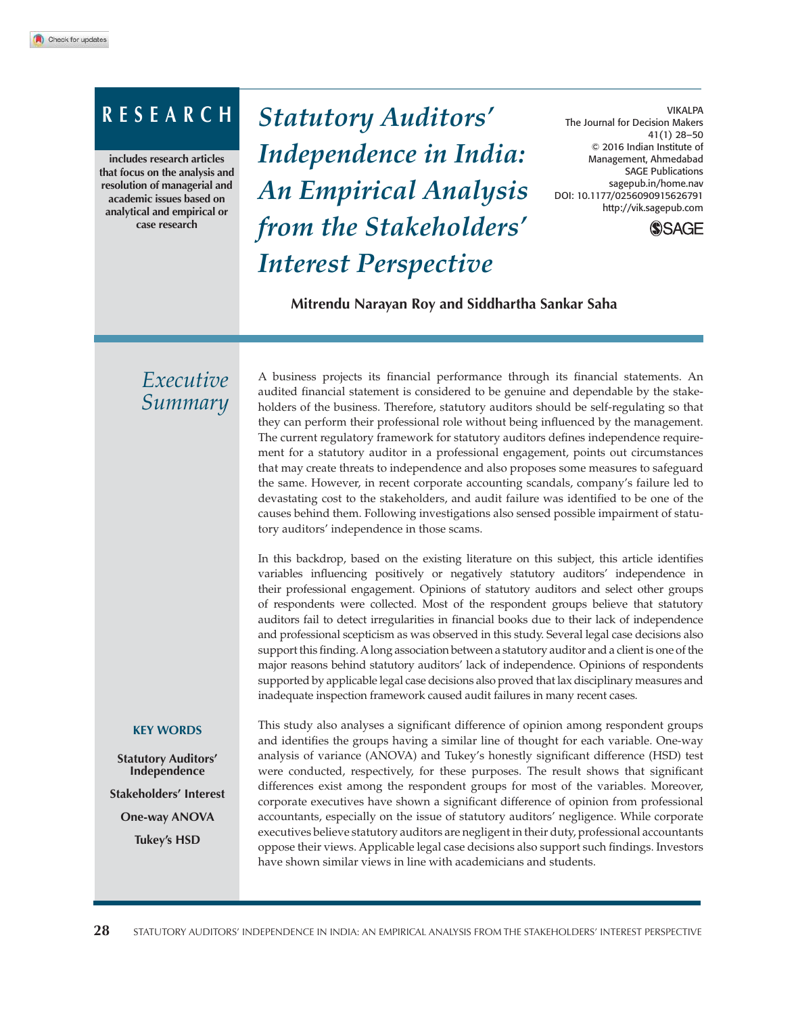# **RESEARCH**

**includes research articles that focus on the analysis and resolution of managerial and academic issues based on analytical and empirical or case research**

*Statutory Auditors' Independence in India: An Empirical Analysis from the Stakeholders' Interest Perspective*

VIKALPA The Journal for Decision Makers 41(1) 28–50 © 2016 Indian Institute of Management, Ahmedabad SAGE Publications sagepub.in/home.nav DOI: 10.1177/0256090915626791 http://vik.sagepub.com



## **Mitrendu Narayan Roy and Siddhartha Sankar Saha**

## *Executive Summary*

A business projects its financial performance through its financial statements. An audited financial statement is considered to be genuine and dependable by the stakeholders of the business. Therefore, statutory auditors should be self-regulating so that they can perform their professional role without being influenced by the management. The current regulatory framework for statutory auditors defines independence requirement for a statutory auditor in a professional engagement, points out circumstances that may create threats to independence and also proposes some measures to safeguard the same. However, in recent corporate accounting scandals, company's failure led to devastating cost to the stakeholders, and audit failure was identified to be one of the causes behind them. Following investigations also sensed possible impairment of statutory auditors' independence in those scams.

In this backdrop, based on the existing literature on this subject, this article identifies variables influencing positively or negatively statutory auditors' independence in their professional engagement. Opinions of statutory auditors and select other groups of respondents were collected. Most of the respondent groups believe that statutory auditors fail to detect irregularities in financial books due to their lack of independence and professional scepticism as was observed in this study. Several legal case decisions also support this finding. A long association between a statutory auditor and a client is one of the major reasons behind statutory auditors' lack of independence. Opinions of respondents supported by applicable legal case decisions also proved that lax disciplinary measures and inadequate inspection framework caused audit failures in many recent cases.

#### **KEY WORDS**

**Statutory Auditors' Independence**

**Stakeholders' Interest**

**One-way ANOVA**

**Tukey's HSD**

This study also analyses a significant difference of opinion among respondent groups and identifies the groups having a similar line of thought for each variable. One-way analysis of variance (ANOVA) and Tukey's honestly significant difference (HSD) test were conducted, respectively, for these purposes. The result shows that significant differences exist among the respondent groups for most of the variables. Moreover, corporate executives have shown a significant difference of opinion from professional accountants, especially on the issue of statutory auditors' negligence. While corporate executives believe statutory auditors are negligent in their duty, professional accountants oppose their views. Applicable legal case decisions also support such findings. Investors have shown similar views in line with academicians and students.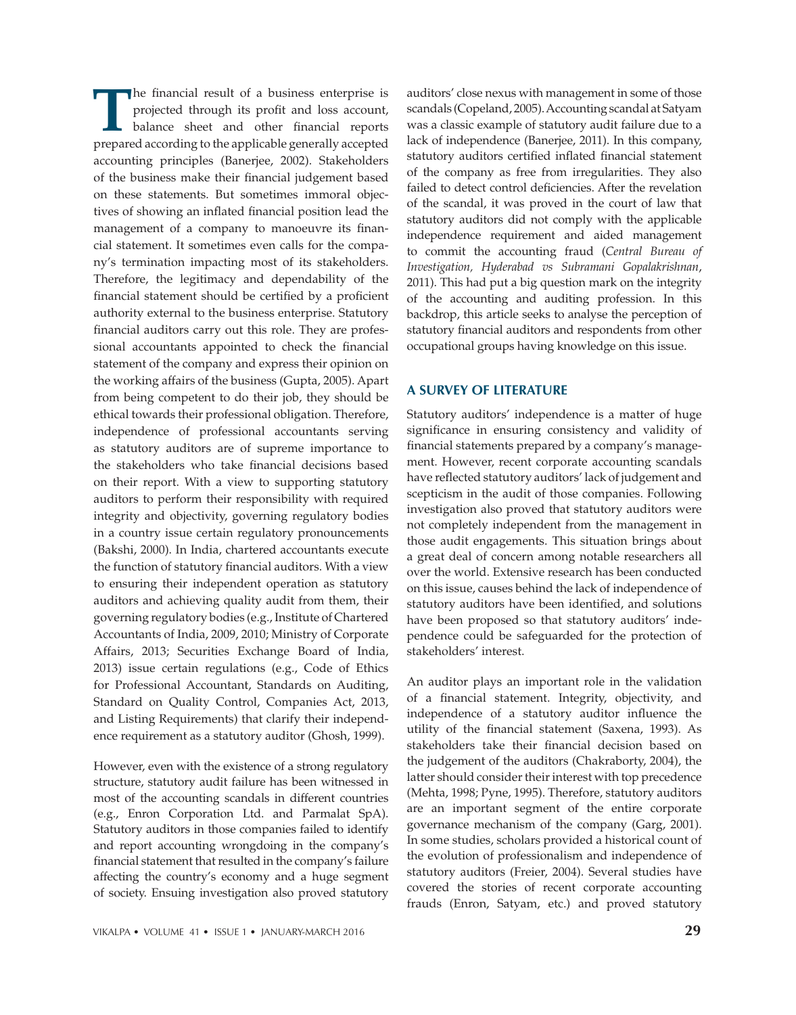The financial result of a business enterprise is projected through its profit and loss account, balance sheet and other financial reports prepared according to the applicable generally accepted he financial result of a business enterprise is projected through its profit and loss account, balance sheet and other financial reports accounting principles (Banerjee, 2002). Stakeholders of the business make their financial judgement based on these statements. But sometimes immoral objectives of showing an inflated financial position lead the management of a company to manoeuvre its financial statement. It sometimes even calls for the company's termination impacting most of its stakeholders. Therefore, the legitimacy and dependability of the financial statement should be certified by a proficient authority external to the business enterprise. Statutory financial auditors carry out this role. They are professional accountants appointed to check the financial statement of the company and express their opinion on the working affairs of the business (Gupta, 2005). Apart from being competent to do their job, they should be ethical towards their professional obligation. Therefore, independence of professional accountants serving as statutory auditors are of supreme importance to the stakeholders who take financial decisions based on their report. With a view to supporting statutory auditors to perform their responsibility with required integrity and objectivity, governing regulatory bodies in a country issue certain regulatory pronouncements (Bakshi, 2000). In India, chartered accountants execute the function of statutory financial auditors. With a view to ensuring their independent operation as statutory auditors and achieving quality audit from them, their governing regulatory bodies (e.g., Institute of Chartered Accountants of India, 2009, 2010; Ministry of Corporate Affairs, 2013; Securities Exchange Board of India, 2013) issue certain regulations (e.g., Code of Ethics for Professional Accountant, Standards on Auditing, Standard on Quality Control, Companies Act, 2013, and Listing Requirements) that clarify their independence requirement as a statutory auditor (Ghosh, 1999).

However, even with the existence of a strong regulatory structure, statutory audit failure has been witnessed in most of the accounting scandals in different countries (e.g., Enron Corporation Ltd. and Parmalat SpA). Statutory auditors in those companies failed to identify and report accounting wrongdoing in the company's financial statement that resulted in the company's failure affecting the country's economy and a huge segment of society. Ensuing investigation also proved statutory

auditors' close nexus with management in some of those scandals (Copeland, 2005). Accounting scandal at Satyam was a classic example of statutory audit failure due to a lack of independence (Banerjee, 2011). In this company, statutory auditors certified inflated financial statement of the company as free from irregularities. They also failed to detect control deficiencies. After the revelation of the scandal, it was proved in the court of law that statutory auditors did not comply with the applicable independence requirement and aided management to commit the accounting fraud (*Central Bureau of Investigation, Hyderabad vs Subramani Gopalakrishnan*, 2011). This had put a big question mark on the integrity of the accounting and auditing profession. In this backdrop, this article seeks to analyse the perception of statutory financial auditors and respondents from other occupational groups having knowledge on this issue.

#### **A SURVEY OF LITERATURE**

Statutory auditors' independence is a matter of huge significance in ensuring consistency and validity of financial statements prepared by a company's management. However, recent corporate accounting scandals have reflected statutory auditors' lack of judgement and scepticism in the audit of those companies. Following investigation also proved that statutory auditors were not completely independent from the management in those audit engagements. This situation brings about a great deal of concern among notable researchers all over the world. Extensive research has been conducted on this issue, causes behind the lack of independence of statutory auditors have been identified, and solutions have been proposed so that statutory auditors' independence could be safeguarded for the protection of stakeholders' interest.

An auditor plays an important role in the validation of a financial statement. Integrity, objectivity, and independence of a statutory auditor influence the utility of the financial statement (Saxena, 1993). As stakeholders take their financial decision based on the judgement of the auditors (Chakraborty, 2004), the latter should consider their interest with top precedence (Mehta, 1998; Pyne, 1995). Therefore, statutory auditors are an important segment of the entire corporate governance mechanism of the company (Garg, 2001). In some studies, scholars provided a historical count of the evolution of professionalism and independence of statutory auditors (Freier, 2004). Several studies have covered the stories of recent corporate accounting frauds (Enron, Satyam, etc.) and proved statutory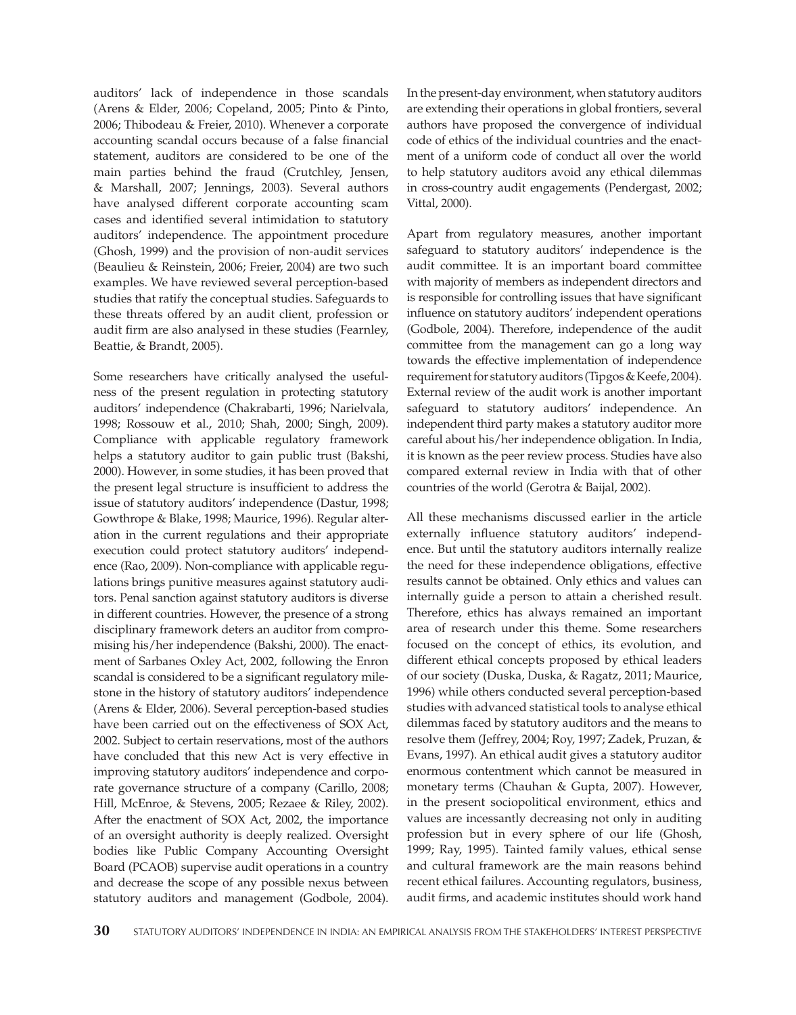auditors' lack of independence in those scandals (Arens & Elder, 2006; Copeland, 2005; Pinto & Pinto, 2006; Thibodeau & Freier, 2010). Whenever a corporate accounting scandal occurs because of a false financial statement, auditors are considered to be one of the main parties behind the fraud (Crutchley, Jensen, & Marshall, 2007; Jennings, 2003). Several authors have analysed different corporate accounting scam cases and identified several intimidation to statutory auditors' independence. The appointment procedure (Ghosh, 1999) and the provision of non-audit services (Beaulieu & Reinstein, 2006; Freier, 2004) are two such examples. We have reviewed several perception-based studies that ratify the conceptual studies. Safeguards to these threats offered by an audit client, profession or audit firm are also analysed in these studies (Fearnley, Beattie, & Brandt, 2005).

Some researchers have critically analysed the usefulness of the present regulation in protecting statutory auditors' independence (Chakrabarti, 1996; Narielvala, 1998; Rossouw et al., 2010; Shah, 2000; Singh, 2009). Compliance with applicable regulatory framework helps a statutory auditor to gain public trust (Bakshi, 2000). However, in some studies, it has been proved that the present legal structure is insufficient to address the issue of statutory auditors' independence (Dastur, 1998; Gowthrope & Blake, 1998; Maurice, 1996). Regular alteration in the current regulations and their appropriate execution could protect statutory auditors' independence (Rao, 2009). Non-compliance with applicable regulations brings punitive measures against statutory auditors. Penal sanction against statutory auditors is diverse in different countries. However, the presence of a strong disciplinary framework deters an auditor from compromising his/her independence (Bakshi, 2000). The enactment of Sarbanes Oxley Act, 2002, following the Enron scandal is considered to be a significant regulatory milestone in the history of statutory auditors' independence (Arens & Elder, 2006). Several perception-based studies have been carried out on the effectiveness of SOX Act, 2002. Subject to certain reservations, most of the authors have concluded that this new Act is very effective in improving statutory auditors' independence and corporate governance structure of a company (Carillo, 2008; Hill, McEnroe, & Stevens, 2005; Rezaee & Riley, 2002). After the enactment of SOX Act, 2002, the importance of an oversight authority is deeply realized. Oversight bodies like Public Company Accounting Oversight Board (PCAOB) supervise audit operations in a country and decrease the scope of any possible nexus between statutory auditors and management (Godbole, 2004).

In the present-day environment, when statutory auditors are extending their operations in global frontiers, several authors have proposed the convergence of individual code of ethics of the individual countries and the enactment of a uniform code of conduct all over the world to help statutory auditors avoid any ethical dilemmas in cross-country audit engagements (Pendergast, 2002; Vittal, 2000).

Apart from regulatory measures, another important safeguard to statutory auditors' independence is the audit committee. It is an important board committee with majority of members as independent directors and is responsible for controlling issues that have significant influence on statutory auditors' independent operations (Godbole, 2004). Therefore, independence of the audit committee from the management can go a long way towards the effective implementation of independence requirement for statutory auditors (Tipgos & Keefe, 2004). External review of the audit work is another important safeguard to statutory auditors' independence. An independent third party makes a statutory auditor more careful about his/her independence obligation. In India, it is known as the peer review process. Studies have also compared external review in India with that of other countries of the world (Gerotra & Baijal, 2002).

All these mechanisms discussed earlier in the article externally influence statutory auditors' independence. But until the statutory auditors internally realize the need for these independence obligations, effective results cannot be obtained. Only ethics and values can internally guide a person to attain a cherished result. Therefore, ethics has always remained an important area of research under this theme. Some researchers focused on the concept of ethics, its evolution, and different ethical concepts proposed by ethical leaders of our society (Duska, Duska, & Ragatz, 2011; Maurice, 1996) while others conducted several perception-based studies with advanced statistical tools to analyse ethical dilemmas faced by statutory auditors and the means to resolve them (Jeffrey, 2004; Roy, 1997; Zadek, Pruzan, & Evans, 1997). An ethical audit gives a statutory auditor enormous contentment which cannot be measured in monetary terms (Chauhan & Gupta, 2007). However, in the present sociopolitical environment, ethics and values are incessantly decreasing not only in auditing profession but in every sphere of our life (Ghosh, 1999; Ray, 1995). Tainted family values, ethical sense and cultural framework are the main reasons behind recent ethical failures. Accounting regulators, business, audit firms, and academic institutes should work hand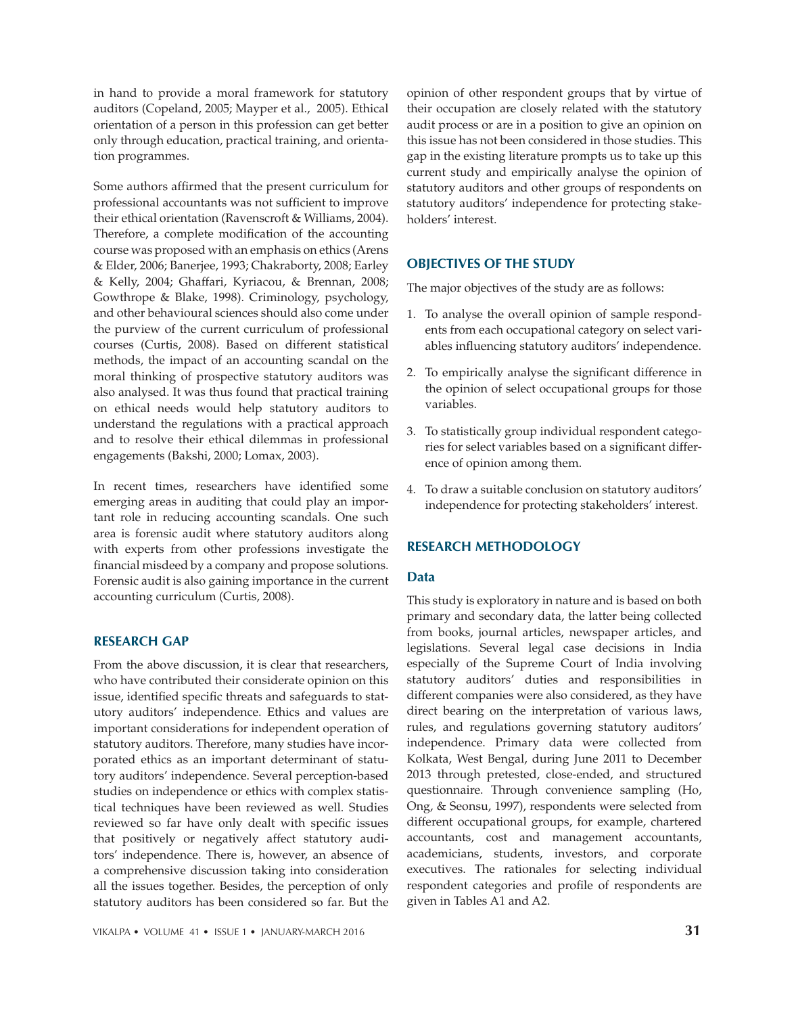in hand to provide a moral framework for statutory auditors (Copeland, 2005; Mayper et al., 2005). Ethical orientation of a person in this profession can get better only through education, practical training, and orientation programmes.

Some authors affirmed that the present curriculum for professional accountants was not sufficient to improve their ethical orientation (Ravenscroft & Williams, 2004). Therefore, a complete modification of the accounting course was proposed with an emphasis on ethics (Arens & Elder, 2006; Banerjee, 1993; Chakraborty, 2008; Earley & Kelly, 2004; Ghaffari, Kyriacou, & Brennan, 2008; Gowthrope & Blake, 1998). Criminology, psychology, and other behavioural sciences should also come under the purview of the current curriculum of professional courses (Curtis, 2008). Based on different statistical methods, the impact of an accounting scandal on the moral thinking of prospective statutory auditors was also analysed. It was thus found that practical training on ethical needs would help statutory auditors to understand the regulations with a practical approach and to resolve their ethical dilemmas in professional engagements (Bakshi, 2000; Lomax, 2003).

In recent times, researchers have identified some emerging areas in auditing that could play an important role in reducing accounting scandals. One such area is forensic audit where statutory auditors along with experts from other professions investigate the financial misdeed by a company and propose solutions. Forensic audit is also gaining importance in the current accounting curriculum (Curtis, 2008).

## **RESEARCH GAP**

From the above discussion, it is clear that researchers, who have contributed their considerate opinion on this issue, identified specific threats and safeguards to statutory auditors' independence. Ethics and values are important considerations for independent operation of statutory auditors. Therefore, many studies have incorporated ethics as an important determinant of statutory auditors' independence. Several perception-based studies on independence or ethics with complex statistical techniques have been reviewed as well. Studies reviewed so far have only dealt with specific issues that positively or negatively affect statutory auditors' independence. There is, however, an absence of a comprehensive discussion taking into consideration all the issues together. Besides, the perception of only statutory auditors has been considered so far. But the

opinion of other respondent groups that by virtue of their occupation are closely related with the statutory audit process or are in a position to give an opinion on this issue has not been considered in those studies. This gap in the existing literature prompts us to take up this current study and empirically analyse the opinion of statutory auditors and other groups of respondents on statutory auditors' independence for protecting stakeholders' interest.

## **OBJECTIVES OF THE STUDY**

The major objectives of the study are as follows:

- 1. To analyse the overall opinion of sample respondents from each occupational category on select variables influencing statutory auditors' independence.
- 2. To empirically analyse the significant difference in the opinion of select occupational groups for those variables.
- 3. To statistically group individual respondent categories for select variables based on a significant difference of opinion among them.
- 4. To draw a suitable conclusion on statutory auditors' independence for protecting stakeholders' interest.

## **RESEARCH METHODOLOGY**

## **Data**

This study is exploratory in nature and is based on both primary and secondary data, the latter being collected from books, journal articles, newspaper articles, and legislations. Several legal case decisions in India especially of the Supreme Court of India involving statutory auditors' duties and responsibilities in different companies were also considered, as they have direct bearing on the interpretation of various laws, rules, and regulations governing statutory auditors' independence. Primary data were collected from Kolkata, West Bengal, during June 2011 to December 2013 through pretested, close-ended, and structured questionnaire. Through convenience sampling (Ho, Ong, & Seonsu, 1997), respondents were selected from different occupational groups, for example, chartered accountants, cost and management accountants, academicians, students, investors, and corporate executives. The rationales for selecting individual respondent categories and profile of respondents are given in Tables A1 and A2.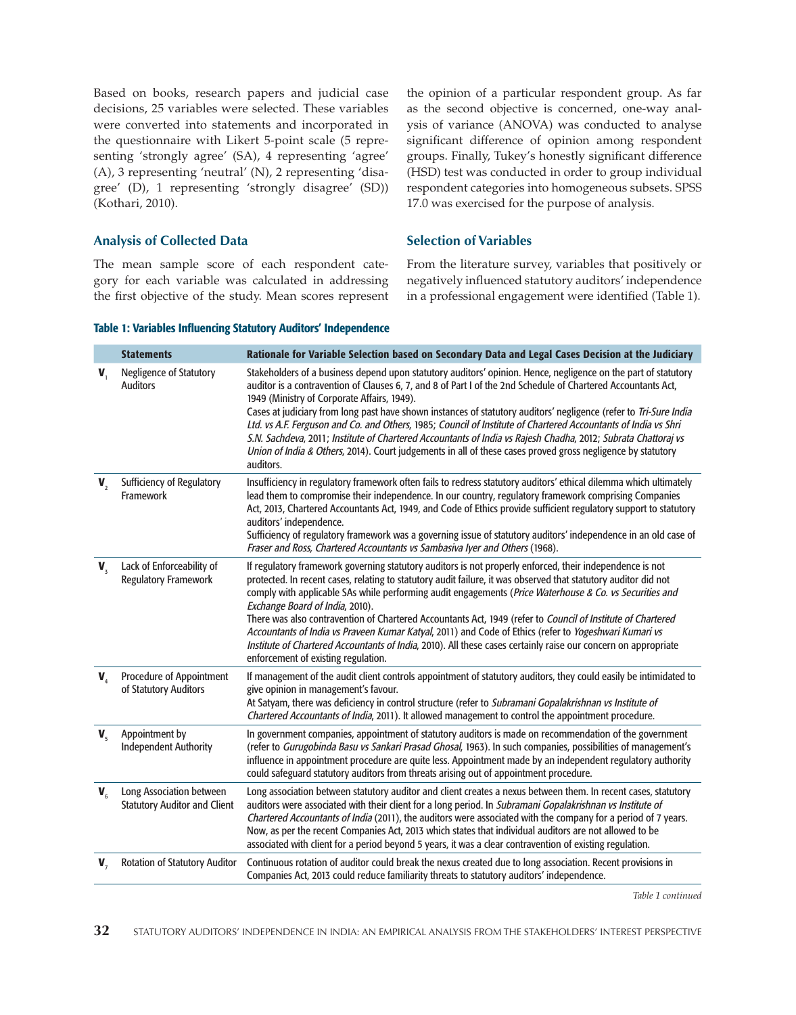Based on books, research papers and judicial case decisions, 25 variables were selected. These variables were converted into statements and incorporated in the questionnaire with Likert 5-point scale (5 representing 'strongly agree' (SA), 4 representing 'agree' (A), 3 representing 'neutral' (N), 2 representing 'disagree' (D), 1 representing 'strongly disagree' (SD)) (Kothari, 2010).

**Analysis of Collected Data**

**V**<sub>1</sub>

**V**<sub>2</sub>

**V**<sub>2</sub>

**V**<sub>4</sub>

**V** 

**V**6

**V**<sub>2</sub>

The mean sample score of each respondent category for each variable was calculated in addressing the first objective of the study. Mean scores represent

the opinion of a particular respondent group. As far as the second objective is concerned, one-way analysis of variance (ANOVA) was conducted to analyse significant difference of opinion among respondent groups. Finally, Tukey's honestly significant difference (HSD) test was conducted in order to group individual respondent categories into homogeneous subsets. SPSS 17.0 was exercised for the purpose of analysis.

#### **Selection of Variables**

From the literature survey, variables that positively or negatively influenced statutory auditors' independence in a professional engagement were identified (Table 1).

| Negligence of Statutory<br><b>Auditors</b>                      | Stakeholders of a business depend upon statutory auditors' opinion. Hence, negligence on the part of statutory<br>auditor is a contravention of Clauses 6, 7, and 8 of Part I of the 2nd Schedule of Chartered Accountants Act,<br>1949 (Ministry of Corporate Affairs, 1949).<br>Cases at judiciary from long past have shown instances of statutory auditors' negligence (refer to Tri-Sure India<br>Ltd. vs A.F. Ferguson and Co. and Others, 1985; Council of Institute of Chartered Accountants of India vs Shri<br>S.N. Sachdeva, 2011; Institute of Chartered Accountants of India vs Rajesh Chadha, 2012; Subrata Chattoraj vs<br>Union of India & Others, 2014). Court judgements in all of these cases proved gross negligence by statutory<br>auditors. |
|-----------------------------------------------------------------|--------------------------------------------------------------------------------------------------------------------------------------------------------------------------------------------------------------------------------------------------------------------------------------------------------------------------------------------------------------------------------------------------------------------------------------------------------------------------------------------------------------------------------------------------------------------------------------------------------------------------------------------------------------------------------------------------------------------------------------------------------------------|
| <b>Sufficiency of Regulatory</b><br>Framework                   | Insufficiency in regulatory framework often fails to redress statutory auditors' ethical dilemma which ultimately<br>lead them to compromise their independence. In our country, regulatory framework comprising Companies<br>Act, 2013, Chartered Accountants Act, 1949, and Code of Ethics provide sufficient regulatory support to statutory<br>auditors' independence.<br>Sufficiency of regulatory framework was a governing issue of statutory auditors' independence in an old case of<br>Fraser and Ross, Chartered Accountants vs Sambasiva Iyer and Others (1968).                                                                                                                                                                                       |
| Lack of Enforceability of<br><b>Regulatory Framework</b>        | If regulatory framework governing statutory auditors is not properly enforced, their independence is not<br>protected. In recent cases, relating to statutory audit failure, it was observed that statutory auditor did not<br>comply with applicable SAs while performing audit engagements (Price Waterhouse & Co. vs Securities and<br>Exchange Board of India, 2010).<br>There was also contravention of Chartered Accountants Act, 1949 (refer to Council of Institute of Chartered<br>Accountants of India vs Praveen Kumar Katyal, 2011) and Code of Ethics (refer to Yogeshwari Kumari vs<br>Institute of Chartered Accountants of India, 2010). All these cases certainly raise our concern on appropriate<br>enforcement of existing regulation.         |
| <b>Procedure of Appointment</b><br>of Statutory Auditors        | If management of the audit client controls appointment of statutory auditors, they could easily be intimidated to<br>give opinion in management's favour.<br>At Satyam, there was deficiency in control structure (refer to Subramani Gopalakrishnan vs Institute of<br>Chartered Accountants of India, 2011). It allowed management to control the appointment procedure.                                                                                                                                                                                                                                                                                                                                                                                         |
| Appointment by<br><b>Independent Authority</b>                  | In government companies, appointment of statutory auditors is made on recommendation of the government<br>(refer to Gurugobinda Basu vs Sankari Prasad Ghosal, 1963). In such companies, possibilities of management's<br>influence in appointment procedure are quite less. Appointment made by an independent regulatory authority<br>could safeguard statutory auditors from threats arising out of appointment procedure.                                                                                                                                                                                                                                                                                                                                      |
| Long Association between<br><b>Statutory Auditor and Client</b> | Long association between statutory auditor and client creates a nexus between them. In recent cases, statutory<br>auditors were associated with their client for a long period. In Subramani Gopalakrishnan vs Institute of<br>Chartered Accountants of India (2011), the auditors were associated with the company for a period of 7 years.<br>Now, as per the recent Companies Act, 2013 which states that individual auditors are not allowed to be<br>associated with client for a period beyond 5 years, it was a clear contravention of existing regulation.                                                                                                                                                                                                 |
| <b>Rotation of Statutory Auditor</b>                            | Continuous rotation of auditor could break the nexus created due to long association. Recent provisions in                                                                                                                                                                                                                                                                                                                                                                                                                                                                                                                                                                                                                                                         |

Statements Rationale for Variable Selection based on Secondary Data and Legal Cases Decision at the Judiciary

Table 1: Variables Influencing Statutory Auditors' Independence

*Table 1 continued*

Companies Act, 2013 could reduce familiarity threats to statutory auditors' independence.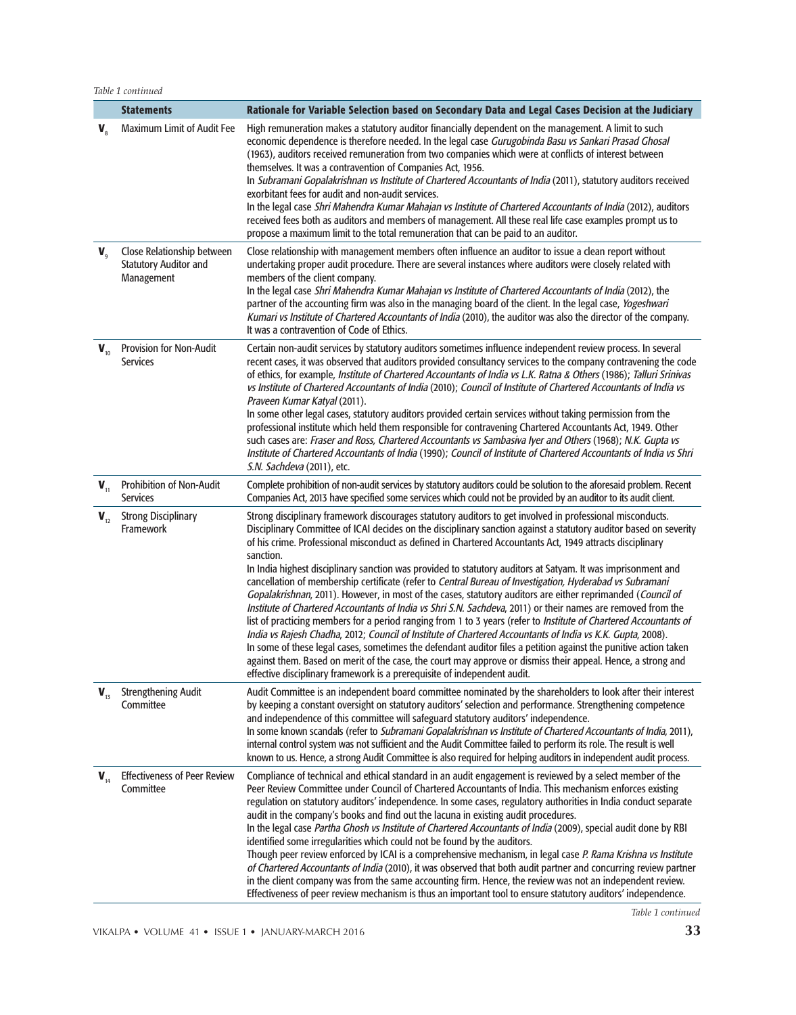#### *Table 1 continued*

|                                   | <b>Statements</b>                                                        | Rationale for Variable Selection based on Secondary Data and Legal Cases Decision at the Judiciary                                                                                                                                                                                                                                                                                                                                                                                                                                                                                                                                                                                                                                                                                                                                                                                                                                                                                                                                                                                                                                                                                                                                                                                                                                                                     |
|-----------------------------------|--------------------------------------------------------------------------|------------------------------------------------------------------------------------------------------------------------------------------------------------------------------------------------------------------------------------------------------------------------------------------------------------------------------------------------------------------------------------------------------------------------------------------------------------------------------------------------------------------------------------------------------------------------------------------------------------------------------------------------------------------------------------------------------------------------------------------------------------------------------------------------------------------------------------------------------------------------------------------------------------------------------------------------------------------------------------------------------------------------------------------------------------------------------------------------------------------------------------------------------------------------------------------------------------------------------------------------------------------------------------------------------------------------------------------------------------------------|
| $V_{\rm g}$                       | Maximum Limit of Audit Fee                                               | High remuneration makes a statutory auditor financially dependent on the management. A limit to such<br>economic dependence is therefore needed. In the legal case Gurugobinda Basu vs Sankari Prasad Ghosal<br>(1963), auditors received remuneration from two companies which were at conflicts of interest between<br>themselves. It was a contravention of Companies Act, 1956.<br>In Subramani Gopalakrishnan vs Institute of Chartered Accountants of India (2011), statutory auditors received<br>exorbitant fees for audit and non-audit services.<br>In the legal case Shri Mahendra Kumar Mahajan vs Institute of Chartered Accountants of India (2012), auditors<br>received fees both as auditors and members of management. All these real life case examples prompt us to<br>propose a maximum limit to the total remuneration that can be paid to an auditor.                                                                                                                                                                                                                                                                                                                                                                                                                                                                                           |
| $V_{\rm q}$                       | Close Relationship between<br><b>Statutory Auditor and</b><br>Management | Close relationship with management members often influence an auditor to issue a clean report without<br>undertaking proper audit procedure. There are several instances where auditors were closely related with<br>members of the client company.<br>In the legal case Shri Mahendra Kumar Mahajan vs Institute of Chartered Accountants of India (2012), the<br>partner of the accounting firm was also in the managing board of the client. In the legal case, Yogeshwari<br>Kumari vs Institute of Chartered Accountants of India (2010), the auditor was also the director of the company.<br>It was a contravention of Code of Ethics.                                                                                                                                                                                                                                                                                                                                                                                                                                                                                                                                                                                                                                                                                                                          |
| $\mathbf{V}_{_{10}}$              | <b>Provision for Non-Audit</b><br><b>Services</b>                        | Certain non-audit services by statutory auditors sometimes influence independent review process. In several<br>recent cases, it was observed that auditors provided consultancy services to the company contravening the code<br>of ethics, for example, Institute of Chartered Accountants of India vs L.K. Ratna & Others (1986); Talluri Srinivas<br>vs Institute of Chartered Accountants of India (2010); Council of Institute of Chartered Accountants of India vs<br>Praveen Kumar Katyal (2011).<br>In some other legal cases, statutory auditors provided certain services without taking permission from the<br>professional institute which held them responsible for contravening Chartered Accountants Act, 1949. Other<br>such cases are: Fraser and Ross, Chartered Accountants vs Sambasiva Iyer and Others (1968); N.K. Gupta vs<br>Institute of Chartered Accountants of India (1990); Council of Institute of Chartered Accountants of India vs Shri<br>S.N. Sachdeva (2011), etc.                                                                                                                                                                                                                                                                                                                                                                  |
| $V_{\rm H}$                       | Prohibition of Non-Audit<br><b>Services</b>                              | Complete prohibition of non-audit services by statutory auditors could be solution to the aforesaid problem. Recent<br>Companies Act, 2013 have specified some services which could not be provided by an auditor to its audit client.                                                                                                                                                                                                                                                                                                                                                                                                                                                                                                                                                                                                                                                                                                                                                                                                                                                                                                                                                                                                                                                                                                                                 |
| $\mathbf{V}_{12}$                 | <b>Strong Disciplinary</b><br>Framework                                  | Strong disciplinary framework discourages statutory auditors to get involved in professional misconducts.<br>Disciplinary Committee of ICAI decides on the disciplinary sanction against a statutory auditor based on severity<br>of his crime. Professional misconduct as defined in Chartered Accountants Act, 1949 attracts disciplinary<br>sanction.<br>In India highest disciplinary sanction was provided to statutory auditors at Satyam. It was imprisonment and<br>cancellation of membership certificate (refer to Central Bureau of Investigation, Hyderabad vs Subramani<br>Gopalakrishnan, 2011). However, in most of the cases, statutory auditors are either reprimanded (Council of<br>Institute of Chartered Accountants of India vs Shri S.N. Sachdeva, 2011) or their names are removed from the<br>list of practicing members for a period ranging from 1 to 3 years (refer to Institute of Chartered Accountants of<br>India vs Rajesh Chadha, 2012; Council of Institute of Chartered Accountants of India vs K.K. Gupta, 2008).<br>In some of these legal cases, sometimes the defendant auditor files a petition against the punitive action taken<br>against them. Based on merit of the case, the court may approve or dismiss their appeal. Hence, a strong and<br>effective disciplinary framework is a prerequisite of independent audit. |
| $V_{13}$                          | <b>Strengthening Audit</b><br>Committee                                  | Audit Committee is an independent board committee nominated by the shareholders to look after their interest<br>by keeping a constant oversight on statutory auditors' selection and performance. Strengthening competence<br>and independence of this committee will safeguard statutory auditors' independence.<br>In some known scandals (refer to Subramani Gopalakrishnan vs Institute of Chartered Accountants of India, 2011),<br>internal control system was not sufficient and the Audit Committee failed to perform its role. The result is well<br>known to us. Hence, a strong Audit Committee is also required for helping auditors in independent audit process.                                                                                                                                                                                                                                                                                                                                                                                                                                                                                                                                                                                                                                                                                         |
| $\boldsymbol{\mathsf{V}}_{_{14}}$ | <b>Effectiveness of Peer Review</b><br>Committee                         | Compliance of technical and ethical standard in an audit engagement is reviewed by a select member of the<br>Peer Review Committee under Council of Chartered Accountants of India. This mechanism enforces existing<br>regulation on statutory auditors' independence. In some cases, regulatory authorities in India conduct separate<br>audit in the company's books and find out the lacuna in existing audit procedures.<br>In the legal case Partha Ghosh vs Institute of Chartered Accountants of India (2009), special audit done by RBI<br>identified some irregularities which could not be found by the auditors.<br>Though peer review enforced by ICAI is a comprehensive mechanism, in legal case P. Rama Krishna vs Institute<br>of Chartered Accountants of India (2010), it was observed that both audit partner and concurring review partner<br>in the client company was from the same accounting firm. Hence, the review was not an independent review.<br>Effectiveness of peer review mechanism is thus an important tool to ensure statutory auditors' independence.                                                                                                                                                                                                                                                                           |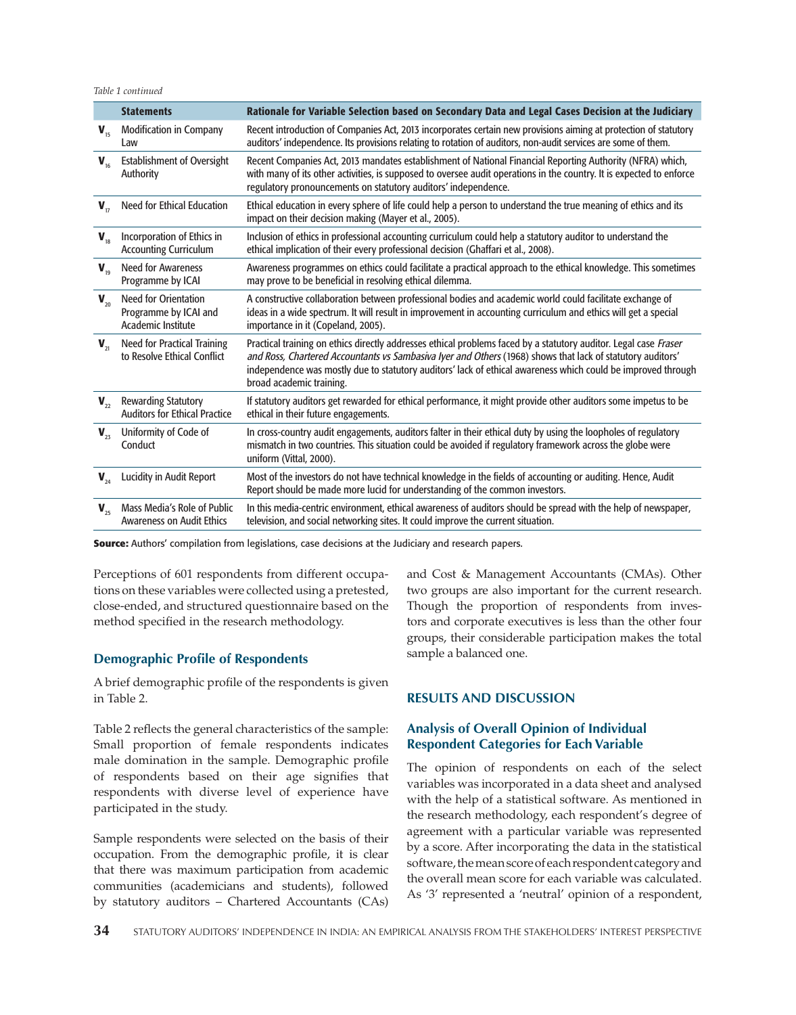*Table 1 continued*

|          | <b>Statements</b>                                                          | Rationale for Variable Selection based on Secondary Data and Legal Cases Decision at the Judiciary                                                                                                                                                                                                                                                                         |
|----------|----------------------------------------------------------------------------|----------------------------------------------------------------------------------------------------------------------------------------------------------------------------------------------------------------------------------------------------------------------------------------------------------------------------------------------------------------------------|
| $V_{15}$ | <b>Modification in Company</b><br>Law                                      | Recent introduction of Companies Act, 2013 incorporates certain new provisions aiming at protection of statutory<br>auditors' independence. Its provisions relating to rotation of auditors, non-audit services are some of them.                                                                                                                                          |
| $V_{16}$ | <b>Establishment of Oversight</b><br>Authority                             | Recent Companies Act, 2013 mandates establishment of National Financial Reporting Authority (NFRA) which,<br>with many of its other activities, is supposed to oversee audit operations in the country. It is expected to enforce<br>regulatory pronouncements on statutory auditors' independence.                                                                        |
| $V_{17}$ | Need for Ethical Education                                                 | Ethical education in every sphere of life could help a person to understand the true meaning of ethics and its<br>impact on their decision making (Mayer et al., 2005).                                                                                                                                                                                                    |
| $V_{18}$ | Incorporation of Ethics in<br><b>Accounting Curriculum</b>                 | Inclusion of ethics in professional accounting curriculum could help a statutory auditor to understand the<br>ethical implication of their every professional decision (Ghaffari et al., 2008).                                                                                                                                                                            |
| $V_{19}$ | <b>Need for Awareness</b><br>Programme by ICAI                             | Awareness programmes on ethics could facilitate a practical approach to the ethical knowledge. This sometimes<br>may prove to be beneficial in resolving ethical dilemma.                                                                                                                                                                                                  |
| $V_{20}$ | <b>Need for Orientation</b><br>Programme by ICAI and<br>Academic Institute | A constructive collaboration between professional bodies and academic world could facilitate exchange of<br>ideas in a wide spectrum. It will result in improvement in accounting curriculum and ethics will get a special<br>importance in it (Copeland, 2005).                                                                                                           |
| $V_{21}$ | <b>Need for Practical Training</b><br>to Resolve Ethical Conflict          | Practical training on ethics directly addresses ethical problems faced by a statutory auditor. Legal case Fraser<br>and Ross, Chartered Accountants vs Sambasiva Iyer and Others (1968) shows that lack of statutory auditors'<br>independence was mostly due to statutory auditors' lack of ethical awareness which could be improved through<br>broad academic training. |
| $V_{22}$ | <b>Rewarding Statutory</b><br><b>Auditors for Ethical Practice</b>         | If statutory auditors get rewarded for ethical performance, it might provide other auditors some impetus to be<br>ethical in their future engagements.                                                                                                                                                                                                                     |
| $V_{23}$ | Uniformity of Code of<br>Conduct                                           | In cross-country audit engagements, auditors falter in their ethical duty by using the loopholes of regulatory<br>mismatch in two countries. This situation could be avoided if regulatory framework across the globe were<br>uniform (Vittal, 2000).                                                                                                                      |
| $V_{24}$ | <b>Lucidity in Audit Report</b>                                            | Most of the investors do not have technical knowledge in the fields of accounting or auditing. Hence, Audit<br>Report should be made more lucid for understanding of the common investors.                                                                                                                                                                                 |
| $V_{25}$ | Mass Media's Role of Public<br><b>Awareness on Audit Ethics</b>            | In this media-centric environment, ethical awareness of auditors should be spread with the help of newspaper,<br>television, and social networking sites. It could improve the current situation.                                                                                                                                                                          |

**Source:** Authors' compilation from legislations, case decisions at the Judiciary and research papers.

Perceptions of 601 respondents from different occupations on these variables were collected using a pretested, close-ended, and structured questionnaire based on the method specified in the research methodology.

## **Demographic Profile of Respondents**

A brief demographic profile of the respondents is given in Table 2.

Table 2 reflects the general characteristics of the sample: Small proportion of female respondents indicates male domination in the sample. Demographic profile of respondents based on their age signifies that respondents with diverse level of experience have participated in the study.

Sample respondents were selected on the basis of their occupation. From the demographic profile, it is clear that there was maximum participation from academic communities (academicians and students), followed by statutory auditors – Chartered Accountants (CAs)

and Cost & Management Accountants (CMAs). Other two groups are also important for the current research. Though the proportion of respondents from investors and corporate executives is less than the other four groups, their considerable participation makes the total sample a balanced one.

## **RESULTS AND DISCUSSION**

#### **Analysis of Overall Opinion of Individual Respondent Categories for Each Variable**

The opinion of respondents on each of the select variables was incorporated in a data sheet and analysed with the help of a statistical software. As mentioned in the research methodology, each respondent's degree of agreement with a particular variable was represented by a score. After incorporating the data in the statistical software, the mean score of each respondent category and the overall mean score for each variable was calculated. As '3' represented a 'neutral' opinion of a respondent,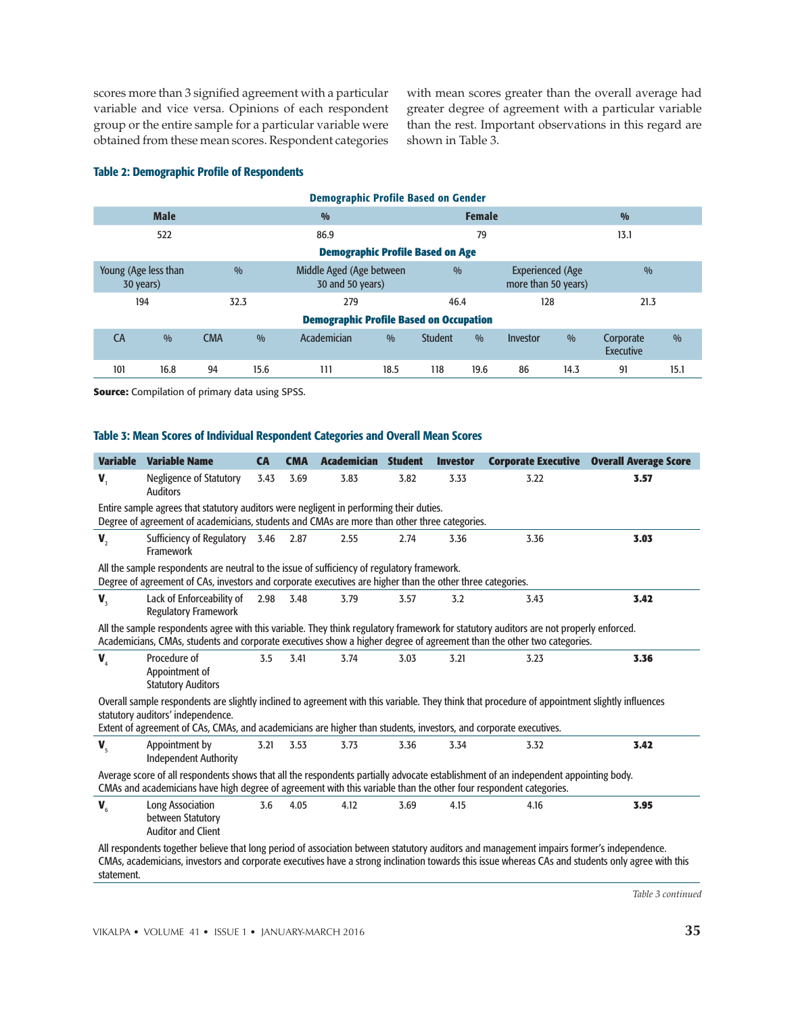scores more than 3 signified agreement with a particular variable and vice versa. Opinions of each respondent group or the entire sample for a particular variable were obtained from these mean scores. Respondent categories with mean scores greater than the overall average had greater degree of agreement with a particular variable than the rest. Important observations in this regard are shown in Table 3.

#### Table 2: Demographic Profile of Respondents

|                                         |                              |                                                     |      | <b>Demographic Profile Based on Gender</b>     |      |                |                                                |          |               |                        |      |
|-----------------------------------------|------------------------------|-----------------------------------------------------|------|------------------------------------------------|------|----------------|------------------------------------------------|----------|---------------|------------------------|------|
|                                         | <b>Male</b><br>$\frac{0}{0}$ |                                                     |      |                                                |      |                | <b>Female</b>                                  |          |               | $\frac{0}{0}$          |      |
|                                         | 522<br>86.9                  |                                                     |      |                                                |      |                | 79                                             |          |               | 13.1                   |      |
| <b>Demographic Profile Based on Age</b> |                              |                                                     |      |                                                |      |                |                                                |          |               |                        |      |
| Young (Age less than<br>30 years)       |                              | Middle Aged (Age between<br>0/0<br>30 and 50 years) |      |                                                |      | 0/0            | <b>Experienced (Age</b><br>more than 50 years) |          |               | 0/0                    |      |
| 194                                     |                              | 32.3                                                |      | 279                                            |      |                | 128<br>46.4                                    |          |               | 21.3                   |      |
|                                         |                              |                                                     |      | <b>Demographic Profile Based on Occupation</b> |      |                |                                                |          |               |                        |      |
| <b>CA</b>                               | 0/0                          | <b>CMA</b>                                          | 0/0  | Academician                                    | 0/0  | <b>Student</b> | 0/0                                            | Investor | $\frac{0}{0}$ | Corporate<br>Executive | 0/0  |
| 101                                     | 16.8                         | 94                                                  | 15.6 | 111                                            | 18.5 | 118            | 19.6                                           | 86       | 14.3          | 91                     | 15.1 |

**Source:** Compilation of primary data using SPSS.

#### Table 3: Mean Scores of Individual Respondent Categories and Overall Mean Scores

| <b>Variable</b>                                                                                                                                                                                                                                                  | <b>Variable Name</b>                                                                                                                                                                                                                                                                                     | <b>CA</b> | <b>CMA</b> | <b>Academician Student</b> |      | <b>Investor</b> | <b>Corporate Executive</b> | <b>Overall Average Score</b> |  |  |
|------------------------------------------------------------------------------------------------------------------------------------------------------------------------------------------------------------------------------------------------------------------|----------------------------------------------------------------------------------------------------------------------------------------------------------------------------------------------------------------------------------------------------------------------------------------------------------|-----------|------------|----------------------------|------|-----------------|----------------------------|------------------------------|--|--|
| $\mathbf{V}_{1}$                                                                                                                                                                                                                                                 | Negligence of Statutory<br><b>Auditors</b>                                                                                                                                                                                                                                                               | 3.43      | 3.69       | 3.83                       | 3.82 | 3.33            | 3.22                       | 3.57                         |  |  |
| Entire sample agrees that statutory auditors were negligent in performing their duties.<br>Degree of agreement of academicians, students and CMAs are more than other three categories.                                                                          |                                                                                                                                                                                                                                                                                                          |           |            |                            |      |                 |                            |                              |  |  |
| $\mathbf{V}_{2}$                                                                                                                                                                                                                                                 | Sufficiency of Regulatory 3.46<br>Framework                                                                                                                                                                                                                                                              |           | 2.87       | 2.55                       | 2.74 | 3.36            | 3.36                       | 3.03                         |  |  |
|                                                                                                                                                                                                                                                                  | All the sample respondents are neutral to the issue of sufficiency of regulatory framework.<br>Degree of agreement of CAs, investors and corporate executives are higher than the other three categories.                                                                                                |           |            |                            |      |                 |                            |                              |  |  |
| $V_{\frac{1}{3}}$                                                                                                                                                                                                                                                | Lack of Enforceability of<br><b>Regulatory Framework</b>                                                                                                                                                                                                                                                 | 2.98      | 3.48       | 3.79                       | 3.57 | 3.2             | 3.43                       | 3.42                         |  |  |
| All the sample respondents agree with this variable. They think regulatory framework for statutory auditors are not properly enforced.<br>Academicians, CMAs, students and corporate executives show a higher degree of agreement than the other two categories. |                                                                                                                                                                                                                                                                                                          |           |            |                            |      |                 |                            |                              |  |  |
| $V_{4}$                                                                                                                                                                                                                                                          | Procedure of<br>Appointment of<br><b>Statutory Auditors</b>                                                                                                                                                                                                                                              | 3.5       | 3.41       | 3.74                       | 3.03 | 3.21            | 3.23                       | 3.36                         |  |  |
|                                                                                                                                                                                                                                                                  | Overall sample respondents are slightly inclined to agreement with this variable. They think that procedure of appointment slightly influences<br>statutory auditors' independence.<br>Extent of agreement of CAs, CMAs, and academicians are higher than students, investors, and corporate executives. |           |            |                            |      |                 |                            |                              |  |  |
| $V_{\rm s}$                                                                                                                                                                                                                                                      | Appointment by<br><b>Independent Authority</b>                                                                                                                                                                                                                                                           | 3.21      | 3.53       | 3.73                       | 3.36 | 3.34            | 3.32                       | 3.42                         |  |  |
|                                                                                                                                                                                                                                                                  | Average score of all respondents shows that all the respondents partially advocate establishment of an independent appointing body.<br>CMAs and academicians have high degree of agreement with this variable than the other four respondent categories.                                                 |           |            |                            |      |                 |                            |                              |  |  |
| $\mathbf{V}_{\scriptscriptstyle{6}}$                                                                                                                                                                                                                             | <b>Long Association</b><br>between Statutory<br><b>Auditor and Client</b>                                                                                                                                                                                                                                | 3.6       | 4.05       | 4.12                       | 3.69 | 4.15            | 4.16                       | 3.95                         |  |  |
|                                                                                                                                                                                                                                                                  | All respondents together believe that long period of association between statutory auditors and management impairs former's independence.                                                                                                                                                                |           |            |                            |      |                 |                            |                              |  |  |

CMAs, academicians, investors and corporate executives have a strong inclination towards this issue whereas CAs and students only agree with this statement.

*Table 3 continued*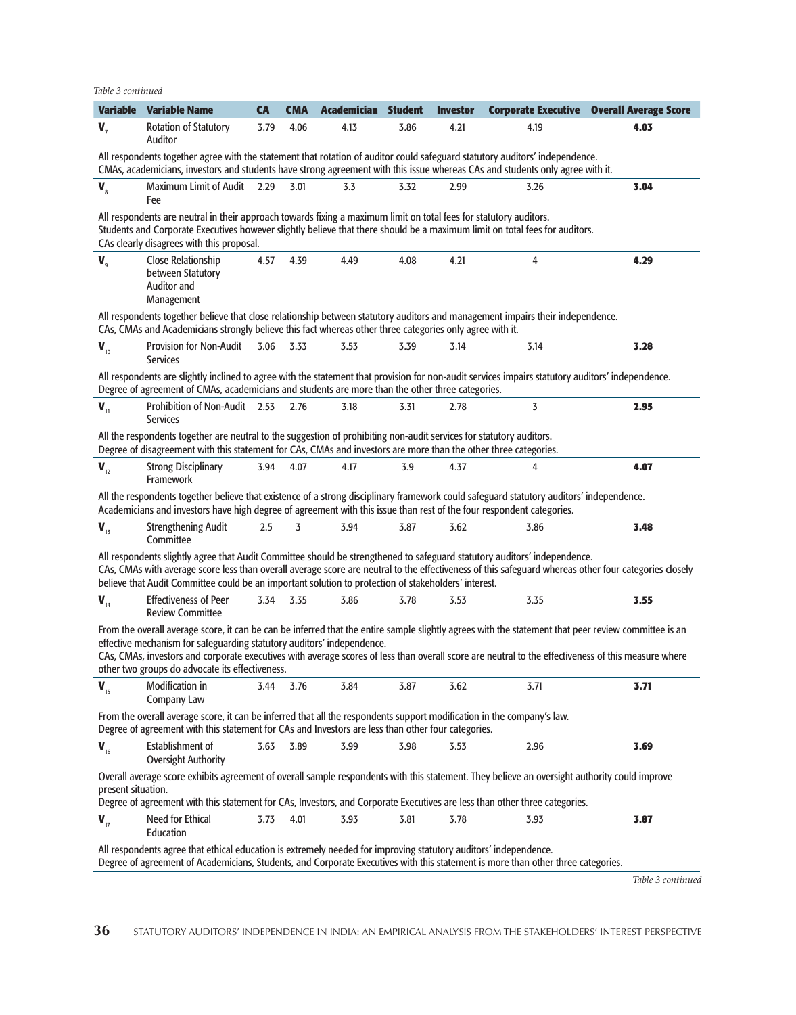**Variable Variable Name CA CMA Academician Student Investor Corporate Executive Overall Average Score**   $V_{7}$ Rotation of Statutory Auditor 3.79 4.06 4.13 3.86 4.21 4.19 **4.03** All respondents together agree with the statement that rotation of auditor could safeguard statutory auditors' independence. CMAs, academicians, investors and students have strong agreement with this issue whereas CAs and students only agree with it. **V**<sub>8</sub> Maximum Limit of Audit Fee 2.29 3.01 3.3 3.32 2.99 3.26 **3.04** All respondents are neutral in their approach towards fixing a maximum limit on total fees for statutory auditors. Students and Corporate Executives however slightly believe that there should be a maximum limit on total fees for auditors. CAs clearly disagrees with this proposal.  $V_{\rm q}$ Close Relationship between Statutory Auditor and Management 4.57 4.39 4.49 4.08 4.21 4 **4.29** All respondents together believe that close relationship between statutory auditors and management impairs their independence. CAs, CMAs and Academicians strongly believe this fact whereas other three categories only agree with it. **V**<sub>10</sub> Provision for Non-Audit Services 3.06 3.33 3.53 3.39 3.14 3.14 **3.28** All respondents are slightly inclined to agree with the statement that provision for non-audit services impairs statutory auditors' independence. Degree of agreement of CMAs, academicians and students are more than the other three categories.  $V_{11}$  Prohibition of Non-Audit 2.53 Services 2.53 2.76 3.18 3.31 2.78 3 **2.95** All the respondents together are neutral to the suggestion of prohibiting non-audit services for statutory auditors. Degree of disagreement with this statement for CAs, CMAs and investors are more than the other three categories. **V**<sub>12</sub> Strong Disciplinary Framework 3.94 4.07 4.17 3.9 4.37 4 **4.07** All the respondents together believe that existence of a strong disciplinary framework could safeguard statutory auditors' independence. Academicians and investors have high degree of agreement with this issue than rest of the four respondent categories. **V**<sub>13</sub> Strengthening Audit **Committee** 2.5 3 3.94 3.87 3.62 3.86 **3.48** All respondents slightly agree that Audit Committee should be strengthened to safeguard statutory auditors' independence. CAs, CMAs with average score less than overall average score are neutral to the effectiveness of this safeguard whereas other four categories closely believe that Audit Committee could be an important solution to protection of stakeholders' interest. **V**<sub>14</sub> Effectiveness of Peer Review Committee 3.34 3.35 3.86 3.78 3.53 3.35 **3.55** From the overall average score, it can be can be inferred that the entire sample slightly agrees with the statement that peer review committee is an effective mechanism for safeguarding statutory auditors' independence. CAs, CMAs, investors and corporate executives with average scores of less than overall score are neutral to the effectiveness of this measure where other two groups do advocate its effectiveness. **V**<sub>15</sub> Modification in Company Law 3.44 3.76 3.84 3.87 3.62 3.71 **3.71** From the overall average score, it can be inferred that all the respondents support modification in the company's law. Degree of agreement with this statement for CAs and Investors are less than other four categories. **V**<sub>16</sub> Establishment of Oversight Authority 3.63 3.89 3.99 3.98 3.53 2.96 **3.69** Overall average score exhibits agreement of overall sample respondents with this statement. They believe an oversight authority could improve present situation. Degree of agreement with this statement for CAs, Investors, and Corporate Executives are less than other three categories. *Table 3 continued*

| $\mathbf v$ | Need for Ethical                                                                                                 |  | 4.01 | 3.93 | 3.81 |  | 3.93 | 3.87 |  |  |
|-------------|------------------------------------------------------------------------------------------------------------------|--|------|------|------|--|------|------|--|--|
|             |                                                                                                                  |  |      |      |      |  |      |      |  |  |
|             | All account that is good also also had been been concerned by the formation of a statement of the local basis of |  |      |      |      |  |      |      |  |  |

All respondents agree that ethical education is extremely needed for improving statutory auditors' independence. Degree of agreement of Academicians, Students, and Corporate Executives with this statement is more than other three categories.

*Table 3 continued*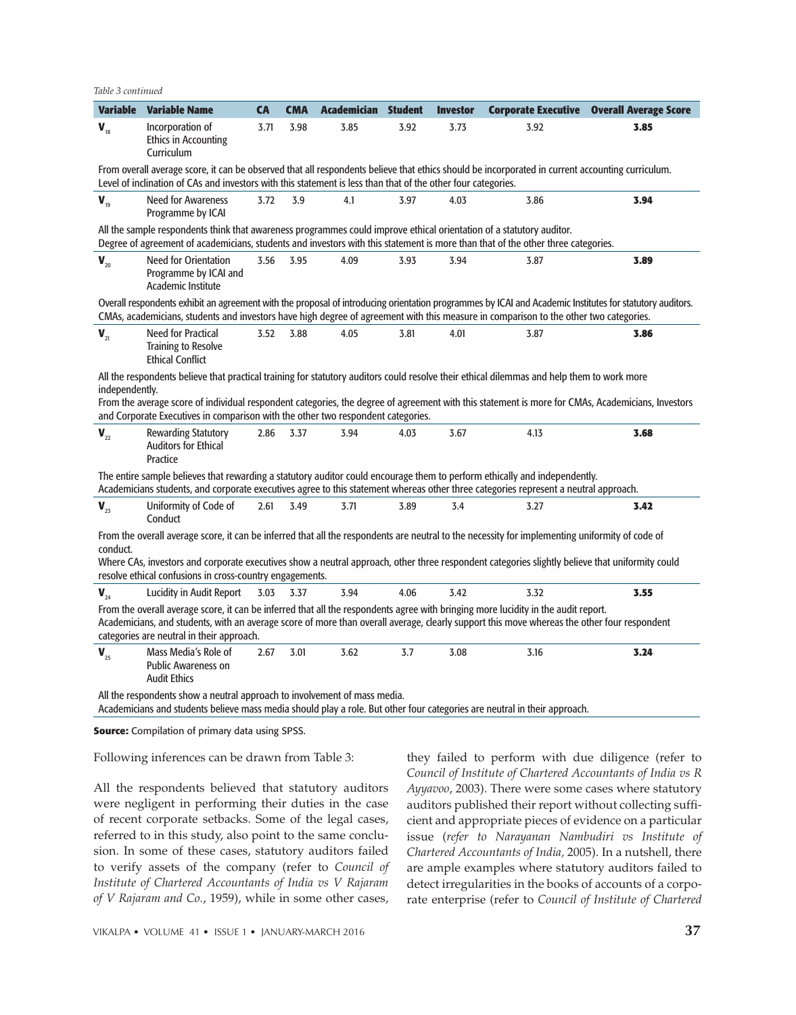|                                                                                                                                                                                                                                                                                                                                                                                                       | Variable Variable Name                                                                                                                                                                                                                                                                                                                                         | <b>CA</b> | <b>CMA</b> | <b>Academician Student</b> |      | <b>Investor</b> |      | <b>Corporate Executive Overall Average Score</b>                                                                                                         |  |  |
|-------------------------------------------------------------------------------------------------------------------------------------------------------------------------------------------------------------------------------------------------------------------------------------------------------------------------------------------------------------------------------------------------------|----------------------------------------------------------------------------------------------------------------------------------------------------------------------------------------------------------------------------------------------------------------------------------------------------------------------------------------------------------------|-----------|------------|----------------------------|------|-----------------|------|----------------------------------------------------------------------------------------------------------------------------------------------------------|--|--|
| $V_{18}$                                                                                                                                                                                                                                                                                                                                                                                              | Incorporation of<br><b>Ethics in Accounting</b><br>Curriculum                                                                                                                                                                                                                                                                                                  | 3.71      | 3.98       | 3.85                       | 3.92 | 3.73            | 3.92 | 3.85                                                                                                                                                     |  |  |
| From overall average score, it can be observed that all respondents believe that ethics should be incorporated in current accounting curriculum.<br>Level of inclination of CAs and investors with this statement is less than that of the other four categories.                                                                                                                                     |                                                                                                                                                                                                                                                                                                                                                                |           |            |                            |      |                 |      |                                                                                                                                                          |  |  |
| $V_{19}$                                                                                                                                                                                                                                                                                                                                                                                              | <b>Need for Awareness</b><br>Programme by ICAI                                                                                                                                                                                                                                                                                                                 | 3.72      | 3.9        | 4.1                        | 3.97 | 4.03            | 3.86 | 3.94                                                                                                                                                     |  |  |
| All the sample respondents think that awareness programmes could improve ethical orientation of a statutory auditor.<br>Degree of agreement of academicians, students and investors with this statement is more than that of the other three categories.                                                                                                                                              |                                                                                                                                                                                                                                                                                                                                                                |           |            |                            |      |                 |      |                                                                                                                                                          |  |  |
| $\mathbf{V}_{_{20}}$                                                                                                                                                                                                                                                                                                                                                                                  | <b>Need for Orientation</b><br>Programme by ICAI and<br>Academic Institute                                                                                                                                                                                                                                                                                     | 3.56      | 3.95       | 4.09                       | 3.93 | 3.94            | 3.87 | 3.89                                                                                                                                                     |  |  |
|                                                                                                                                                                                                                                                                                                                                                                                                       | CMAs, academicians, students and investors have high degree of agreement with this measure in comparison to the other two categories.                                                                                                                                                                                                                          |           |            |                            |      |                 |      | Overall respondents exhibit an agreement with the proposal of introducing orientation programmes by ICAI and Academic Institutes for statutory auditors. |  |  |
| $V_{21}$                                                                                                                                                                                                                                                                                                                                                                                              | Need for Practical<br><b>Training to Resolve</b><br><b>Ethical Conflict</b>                                                                                                                                                                                                                                                                                    | 3.52      | 3.88       | 4.05                       | 3.81 | 4.01            | 3.87 | 3.86                                                                                                                                                     |  |  |
| All the respondents believe that practical training for statutory auditors could resolve their ethical dilemmas and help them to work more<br>independently.<br>From the average score of individual respondent categories, the degree of agreement with this statement is more for CMAs, Academicians, Investors<br>and Corporate Executives in comparison with the other two respondent categories. |                                                                                                                                                                                                                                                                                                                                                                |           |            |                            |      |                 |      |                                                                                                                                                          |  |  |
| $V_{22}$                                                                                                                                                                                                                                                                                                                                                                                              | <b>Rewarding Statutory</b><br><b>Auditors for Ethical</b><br>Practice                                                                                                                                                                                                                                                                                          | 2.86      | 3.37       | 3.94                       | 4.03 | 3.67            | 4.13 | 3.68                                                                                                                                                     |  |  |
|                                                                                                                                                                                                                                                                                                                                                                                                       | The entire sample believes that rewarding a statutory auditor could encourage them to perform ethically and independently.<br>Academicians students, and corporate executives agree to this statement whereas other three categories represent a neutral approach.                                                                                             |           |            |                            |      |                 |      |                                                                                                                                                          |  |  |
| $V_{23}$                                                                                                                                                                                                                                                                                                                                                                                              | Uniformity of Code of<br>Conduct                                                                                                                                                                                                                                                                                                                               | 2.61      | 3.49       | 3.71                       | 3.89 | 3.4             | 3.27 | 3.42                                                                                                                                                     |  |  |
| conduct.                                                                                                                                                                                                                                                                                                                                                                                              | From the overall average score, it can be inferred that all the respondents are neutral to the necessity for implementing uniformity of code of<br>Where CAs, investors and corporate executives show a neutral approach, other three respondent categories slightly believe that uniformity could<br>resolve ethical confusions in cross-country engagements. |           |            |                            |      |                 |      |                                                                                                                                                          |  |  |
| $V_{24}$                                                                                                                                                                                                                                                                                                                                                                                              | Lucidity in Audit Report                                                                                                                                                                                                                                                                                                                                       | 3.03      | 3.37       | 3.94                       | 4.06 | 3.42            | 3.32 | 3.55                                                                                                                                                     |  |  |
|                                                                                                                                                                                                                                                                                                                                                                                                       | From the overall average score, it can be inferred that all the respondents agree with bringing more lucidity in the audit report.<br>Academicians, and students, with an average score of more than overall average, clearly support this move whereas the other four respondent<br>categories are neutral in their approach.                                 |           |            |                            |      |                 |      |                                                                                                                                                          |  |  |
| $V_{25}$                                                                                                                                                                                                                                                                                                                                                                                              | Mass Media's Role of<br><b>Public Awareness on</b><br><b>Audit Ethics</b>                                                                                                                                                                                                                                                                                      | 2.67      | 3.01       | 3.62                       | 3.7  | 3.08            | 3.16 | 3.24                                                                                                                                                     |  |  |
|                                                                                                                                                                                                                                                                                                                                                                                                       | All the respondents show a neutral approach to involvement of mass media.<br>Academicians and students believe mass media should play a role. But other four categories are neutral in their approach.                                                                                                                                                         |           |            |                            |      |                 |      |                                                                                                                                                          |  |  |

**Source:** Compilation of primary data using SPSS.

*Table 3 continued*

Following inferences can be drawn from Table 3:

All the respondents believed that statutory auditors were negligent in performing their duties in the case of recent corporate setbacks. Some of the legal cases, referred to in this study, also point to the same conclusion. In some of these cases, statutory auditors failed to verify assets of the company (refer to *Council of Institute of Chartered Accountants of India vs V Rajaram of V Rajaram and Co.*, 1959), while in some other cases,

they failed to perform with due diligence (refer to *Council of Institute of Chartered Accountants of India vs R Ayyavoo*, 2003). There were some cases where statutory auditors published their report without collecting sufficient and appropriate pieces of evidence on a particular issue (*refer to Narayanan Nambudiri vs Institute of Chartered Accountants of India,* 2005). In a nutshell, there are ample examples where statutory auditors failed to detect irregularities in the books of accounts of a corporate enterprise (refer to *Council of Institute of Chartered*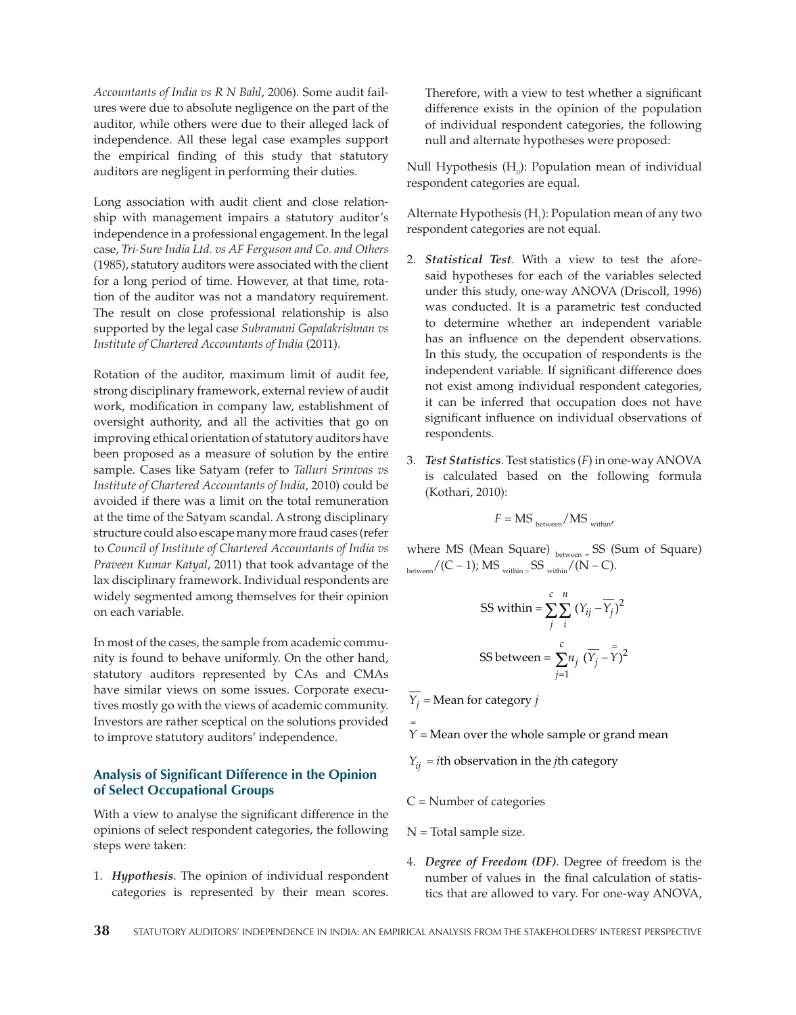*Accountants of India vs R N Bahl*, 2006). Some audit failures were due to absolute negligence on the part of the auditor, while others were due to their alleged lack of independence. All these legal case examples support the empirical finding of this study that statutory auditors are negligent in performing their duties.

Long association with audit client and close relationship with management impairs a statutory auditor's independence in a professional engagement. In the legal case, *Tri-Sure India Ltd. vs AF Ferguson and Co. and Others* (1985), statutory auditors were associated with the client for a long period of time. However, at that time, rotation of the auditor was not a mandatory requirement. The result on close professional relationship is also supported by the legal case *Subramani Gopalakrishnan vs Institute of Chartered Accountants of India* (2011).

Rotation of the auditor, maximum limit of audit fee, strong disciplinary framework, external review of audit work, modification in company law, establishment of oversight authority, and all the activities that go on improving ethical orientation of statutory auditors have been proposed as a measure of solution by the entire sample. Cases like Satyam (refer to *Talluri Srinivas vs Institute of Chartered Accountants of India*, 2010) could be avoided if there was a limit on the total remuneration at the time of the Satyam scandal. A strong disciplinary structure could also escape many more fraud cases (refer to *Council of Institute of Chartered Accountants of India vs Praveen Kumar Katyal*, 2011) that took advantage of the lax disciplinary framework. Individual respondents are widely segmented among themselves for their opinion on each variable.

In most of the cases, the sample from academic community is found to behave uniformly. On the other hand, statutory auditors represented by CAs and CMAs have similar views on some issues. Corporate executives mostly go with the views of academic community. Investors are rather sceptical on the solutions provided to improve statutory auditors' independence.

## **Analysis of Significant Difference in the Opinion of Select Occupational Groups**

With a view to analyse the significant difference in the opinions of select respondent categories, the following steps were taken:

1. *Hypothesis*. The opinion of individual respondent categories is represented by their mean scores.

Therefore, with a view to test whether a significant difference exists in the opinion of the population of individual respondent categories, the following null and alternate hypotheses were proposed:

Null Hypothesis  $(H_0)$ : Population mean of individual respondent categories are equal.

Alternate Hypothesis  $(H_1)$ : Population mean of any two respondent categories are not equal.

- 2. *Statistical Test*. With a view to test the aforesaid hypotheses for each of the variables selected under this study, one-way ANOVA (Driscoll, 1996) was conducted. It is a parametric test conducted to determine whether an independent variable has an influence on the dependent observations. In this study, the occupation of respondents is the independent variable. If significant difference does not exist among individual respondent categories, it can be inferred that occupation does not have significant influence on individual observations of respondents.
- 3. *Test Statistics*. Test statistics (*F*) in one-way ANOVA is calculated based on the following formula (Kothari, 2010):

$$
F = MS_{between} / MS_{within'}
$$

where MS (Mean Square)  $_{between}$  = SS (Sum of Square) between  $/$  (C – 1); MS  $_{\text{within} =}$  SS  $_{\text{within}}$   $/$  (N – C).

SS within = 
$$
\sum_{j}^{c} \sum_{i}^{n} (Y_{ij} - \overline{Y}_{j})^{2}
$$
  
SS between = 
$$
\sum_{j=1}^{c} n_{j} (\overline{Y}_{j} - \overline{Y})^{2}
$$

 $Y_j$  = Mean for category *j* 

 $Y =$  Mean over the whole sample or grand mean =

 $Y_{ij} = i$ th observation in the *j*th category

 $C =$  Number of categories

 $N =$  Total sample size.

4. *Degree of Freedom (DF)*. Degree of freedom is the number of values in the final calculation of statistics that are allowed to vary. For one-way ANOVA,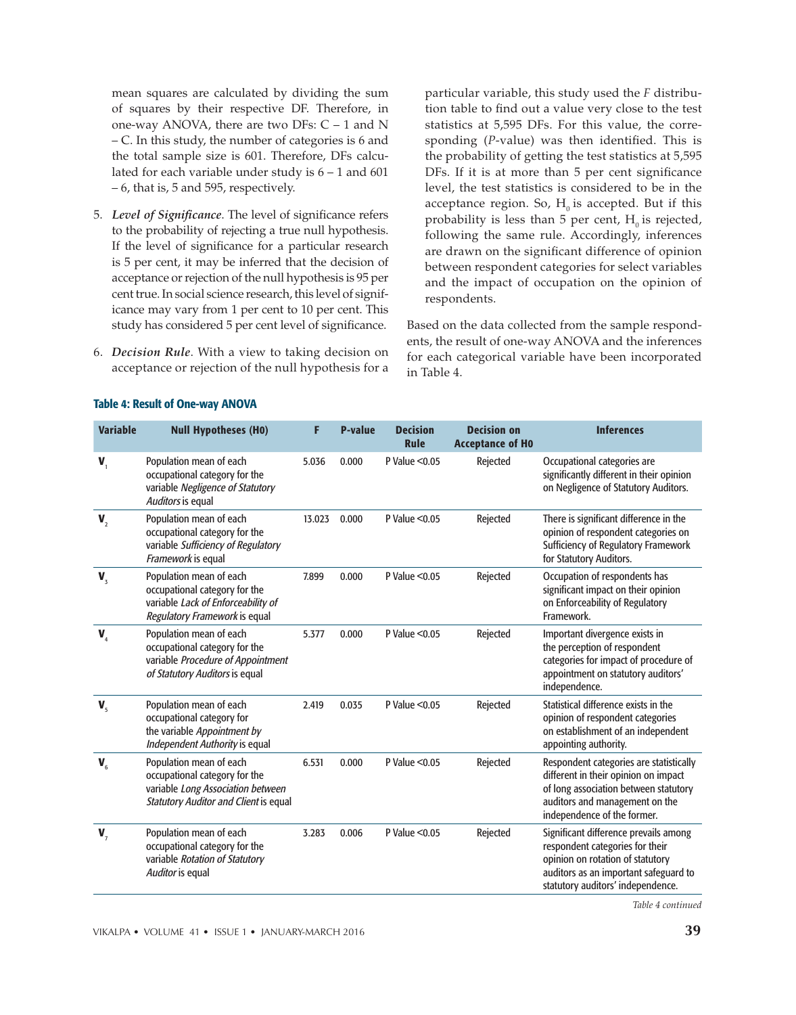mean squares are calculated by dividing the sum of squares by their respective DF. Therefore, in one-way ANOVA, there are two DFs:  $C - 1$  and N – C. In this study, the number of categories is 6 and the total sample size is 601. Therefore, DFs calculated for each variable under study is  $6 - 1$  and  $601$ – 6, that is, 5 and 595, respectively.

- 5. *Level of Significance*. The level of significance refers to the probability of rejecting a true null hypothesis. If the level of significance for a particular research is 5 per cent, it may be inferred that the decision of acceptance or rejection of the null hypothesis is 95 per cent true. In social science research, this level of significance may vary from 1 per cent to 10 per cent. This study has considered 5 per cent level of significance.
- 6. *Decision Rule*. With a view to taking decision on acceptance or rejection of the null hypothesis for a

particular variable, this study used the *F* distribution table to find out a value very close to the test statistics at 5,595 DFs. For this value, the corresponding (*P*-value) was then identified. This is the probability of getting the test statistics at 5,595 DFs. If it is at more than 5 per cent significance level, the test statistics is considered to be in the acceptance region. So,  $H_0$  is accepted. But if this probability is less than 5 per cent,  $H_0$  is rejected, following the same rule. Accordingly, inferences are drawn on the significant difference of opinion between respondent categories for select variables and the impact of occupation on the opinion of respondents.

Based on the data collected from the sample respondents, the result of one-way ANOVA and the inferences for each categorical variable have been incorporated in Table 4.

| <b>Variable</b>  | <b>Null Hypotheses (H0)</b>                                                                                                            | F      | <b>P-value</b> | <b>Decision</b><br><b>Rule</b> | <b>Decision on</b><br><b>Acceptance of HO</b> | <b>Inferences</b>                                                                                                                                                                          |
|------------------|----------------------------------------------------------------------------------------------------------------------------------------|--------|----------------|--------------------------------|-----------------------------------------------|--------------------------------------------------------------------------------------------------------------------------------------------------------------------------------------------|
| $\mathbf{V}_{1}$ | Population mean of each<br>occupational category for the<br>variable Negligence of Statutory<br>Auditors is equal                      | 5.036  | 0.000          | P Value $< 0.05$               | Rejected                                      | Occupational categories are<br>significantly different in their opinion<br>on Negligence of Statutory Auditors.                                                                            |
| $\mathbf{V}_{2}$ | Population mean of each<br>occupational category for the<br>variable Sufficiency of Regulatory<br>Framework is equal                   | 13.023 | 0.000          | P Value $< 0.05$               | Rejected                                      | There is significant difference in the<br>opinion of respondent categories on<br>Sufficiency of Regulatory Framework<br>for Statutory Auditors.                                            |
| $V_{3}$          | Population mean of each<br>occupational category for the<br>variable Lack of Enforceability of<br>Regulatory Framework is equal        | 7.899  | 0.000          | P Value $< 0.05$               | Rejected                                      | Occupation of respondents has<br>significant impact on their opinion<br>on Enforceability of Regulatory<br>Framework.                                                                      |
| $V_{4}$          | Population mean of each<br>occupational category for the<br>variable Procedure of Appointment<br>of Statutory Auditors is equal        | 5.377  | 0.000          | P Value $< 0.05$               | Rejected                                      | Important divergence exists in<br>the perception of respondent<br>categories for impact of procedure of<br>appointment on statutory auditors'<br>independence.                             |
| $V_{\rm s}$      | Population mean of each<br>occupational category for<br>the variable Appointment by<br>Independent Authority is equal                  | 2.419  | 0.035          | P Value $< 0.05$               | Rejected                                      | Statistical difference exists in the<br>opinion of respondent categories<br>on establishment of an independent<br>appointing authority.                                                    |
| $V_{\rm s}$      | Population mean of each<br>occupational category for the<br>variable Long Association between<br>Statutory Auditor and Client is equal | 6.531  | 0.000          | P Value $< 0.05$               | Rejected                                      | Respondent categories are statistically<br>different in their opinion on impact<br>of long association between statutory<br>auditors and management on the<br>independence of the former.  |
| $\mathbf{V}_{1}$ | Population mean of each<br>occupational category for the<br>variable Rotation of Statutory<br>Auditor is equal                         | 3.283  | 0.006          | P Value $< 0.05$               | Rejected                                      | Significant difference prevails among<br>respondent categories for their<br>opinion on rotation of statutory<br>auditors as an important safeguard to<br>statutory auditors' independence. |

#### Table 4: Result of One-way ANOVA

*Table 4 continued*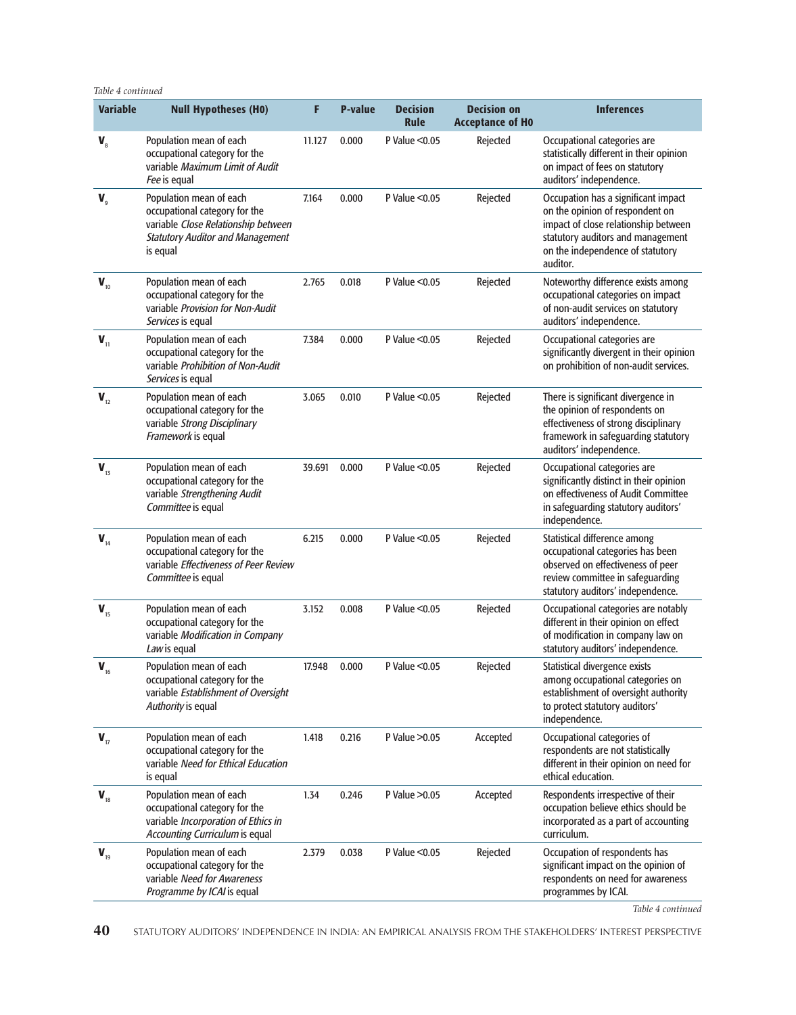*Table 4 continued*

| <b>Variable</b>                   | <b>Null Hypotheses (HO)</b>                                                                                                                            | F      | <b>P-value</b> | <b>Decision</b><br><b>Rule</b> | <b>Decision on</b><br><b>Acceptance of HO</b> | <b>Inferences</b>                                                                                                                                                                                   |
|-----------------------------------|--------------------------------------------------------------------------------------------------------------------------------------------------------|--------|----------------|--------------------------------|-----------------------------------------------|-----------------------------------------------------------------------------------------------------------------------------------------------------------------------------------------------------|
| $\mathbf{V}_{\mathrm{s}}$         | Population mean of each<br>occupational category for the<br>variable Maximum Limit of Audit<br>Fee is equal                                            | 11.127 | 0.000          | P Value $< 0.05$               | Rejected                                      | Occupational categories are<br>statistically different in their opinion<br>on impact of fees on statutory<br>auditors' independence.                                                                |
| $\mathbf{V}_{\mathrm{g}}$         | Population mean of each<br>occupational category for the<br>variable Close Relationship between<br><b>Statutory Auditor and Management</b><br>is equal | 7.164  | 0.000          | P Value $< 0.05$               | Rejected                                      | Occupation has a significant impact<br>on the opinion of respondent on<br>impact of close relationship between<br>statutory auditors and management<br>on the independence of statutory<br>auditor. |
| $V_{10}$                          | Population mean of each<br>occupational category for the<br>variable Provision for Non-Audit<br>Services is equal                                      | 2.765  | 0.018          | P Value < 0.05                 | Rejected                                      | Noteworthy difference exists among<br>occupational categories on impact<br>of non-audit services on statutory<br>auditors' independence.                                                            |
| $V_{11}$                          | Population mean of each<br>occupational category for the<br>variable Prohibition of Non-Audit<br>Services is equal                                     | 7.384  | 0.000          | P Value < 0.05                 | Rejected                                      | Occupational categories are<br>significantly divergent in their opinion<br>on prohibition of non-audit services.                                                                                    |
| $V_{12}$                          | Population mean of each<br>occupational category for the<br>variable Strong Disciplinary<br>Framework is equal                                         | 3.065  | 0.010          | P Value < 0.05                 | Rejected                                      | There is significant divergence in<br>the opinion of respondents on<br>effectiveness of strong disciplinary<br>framework in safeguarding statutory<br>auditors' independence.                       |
| $V_{13}$                          | Population mean of each<br>occupational category for the<br>variable Strengthening Audit<br>Committee is equal                                         | 39.691 | 0.000          | P Value < 0.05                 | Rejected                                      | Occupational categories are<br>significantly distinct in their opinion<br>on effectiveness of Audit Committee<br>in safeguarding statutory auditors'<br>independence.                               |
| $V_{14}$                          | Population mean of each<br>occupational category for the<br>variable Effectiveness of Peer Review<br>Committee is equal                                | 6.215  | 0.000          | P Value < 0.05                 | Rejected                                      | Statistical difference among<br>occupational categories has been<br>observed on effectiveness of peer<br>review committee in safeguarding<br>statutory auditors' independence.                      |
| $V_{15}$                          | Population mean of each<br>occupational category for the<br>variable Modification in Company<br>Law is equal                                           | 3.152  | 0.008          | P Value < 0.05                 | Rejected                                      | Occupational categories are notably<br>different in their opinion on effect<br>of modification in company law on<br>statutory auditors' independence.                                               |
| $V_{16}$                          | Population mean of each<br>occupational category for the<br>variable Establishment of Oversight<br>Authority is equal                                  | 17.948 | 0.000          | P Value < 0.05                 | Rejected                                      | Statistical divergence exists<br>among occupational categories on<br>establishment of oversight authority<br>to protect statutory auditors'<br>independence.                                        |
| $V_{17}$                          | Population mean of each<br>occupational category for the<br>variable Need for Ethical Education<br>is equal                                            | 1.418  | 0.216          | P Value > 0.05                 | Accepted                                      | Occupational categories of<br>respondents are not statistically<br>different in their opinion on need for<br>ethical education.                                                                     |
| $\boldsymbol{\mathsf{V}}_{_{18}}$ | Population mean of each<br>occupational category for the<br>variable Incorporation of Ethics in<br>Accounting Curriculum is equal                      | 1.34   | 0.246          | P Value > 0.05                 | Accepted                                      | Respondents irrespective of their<br>occupation believe ethics should be<br>incorporated as a part of accounting<br>curriculum.                                                                     |
| $V_{19}$                          | Population mean of each<br>occupational category for the<br>variable Need for Awareness<br>Programme by ICAI is equal                                  | 2.379  | 0.038          | P Value < 0.05                 | Rejected                                      | Occupation of respondents has<br>significant impact on the opinion of<br>respondents on need for awareness<br>programmes by ICAI.                                                                   |

*Table 4 continued*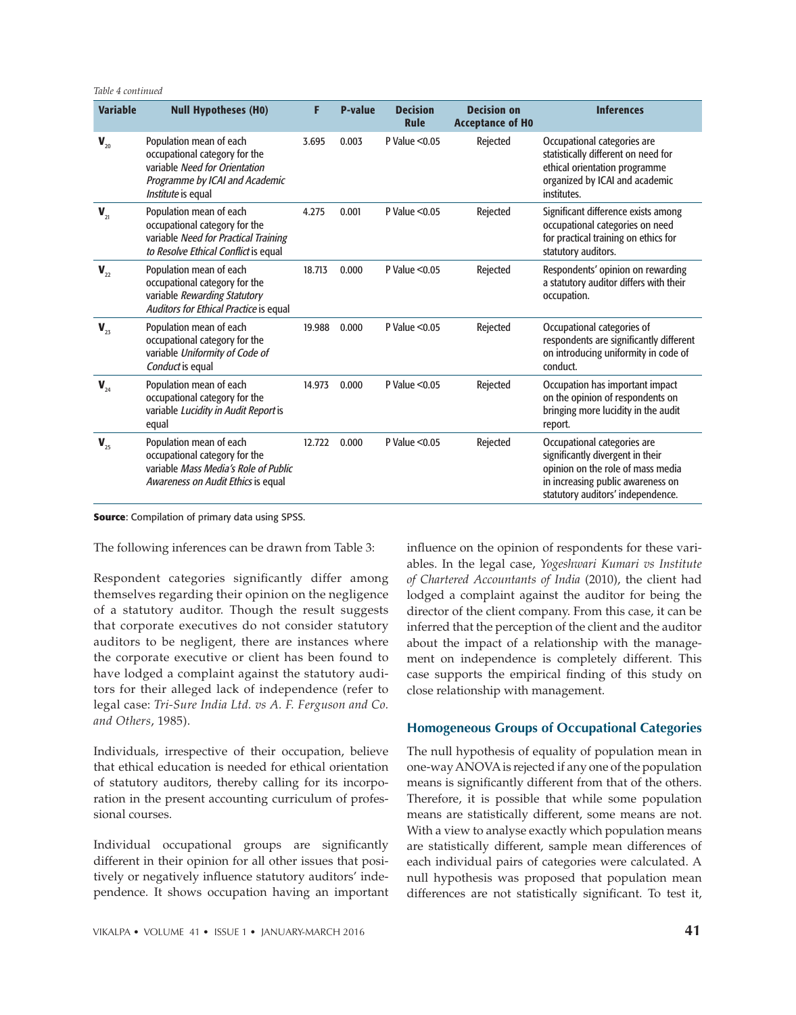*Table 4 continued*

| <b>Variable</b>                                    | <b>Null Hypotheses (HO)</b>                                                                                                                       | F      | <b>P-value</b> | <b>Decision</b><br><b>Rule</b> | <b>Decision on</b><br><b>Acceptance of HO</b> | <b>Inferences</b>                                                                                                                                                              |
|----------------------------------------------------|---------------------------------------------------------------------------------------------------------------------------------------------------|--------|----------------|--------------------------------|-----------------------------------------------|--------------------------------------------------------------------------------------------------------------------------------------------------------------------------------|
| $\mathbf{V}_{_{20}}$                               | Population mean of each<br>occupational category for the<br>variable Need for Orientation<br>Programme by ICAI and Academic<br>Institute is equal | 3.695  | 0.003          | P Value $< 0.05$               | Rejected                                      | Occupational categories are<br>statistically different on need for<br>ethical orientation programme<br>organized by ICAI and academic<br>institutes.                           |
| $\boldsymbol{\mathsf{V}}_{\scriptscriptstyle{21}}$ | Population mean of each<br>occupational category for the<br>variable Need for Practical Training<br>to Resolve Ethical Conflict is equal          | 4.275  | 0.001          | P Value $< 0.05$               | Rejected                                      | Significant difference exists among<br>occupational categories on need<br>for practical training on ethics for<br>statutory auditors.                                          |
| $\mathbf{V}_{22}$                                  | Population mean of each<br>occupational category for the<br>variable Rewarding Statutory<br>Auditors for Ethical Practice is equal                | 18.713 | 0.000          | P Value $< 0.05$               | Rejected                                      | Respondents' opinion on rewarding<br>a statutory auditor differs with their<br>occupation.                                                                                     |
| $V_{23}$                                           | Population mean of each<br>occupational category for the<br>variable Uniformity of Code of<br>Conduct is equal                                    | 19.988 | 0.000          | P Value $< 0.05$               | Rejected                                      | Occupational categories of<br>respondents are significantly different<br>on introducing uniformity in code of<br>conduct.                                                      |
| $V_{24}$                                           | Population mean of each<br>occupational category for the<br>variable Lucidity in Audit Report is<br>equal                                         | 14.973 | 0.000          | P Value < 0.05                 | Rejected                                      | Occupation has important impact<br>on the opinion of respondents on<br>bringing more lucidity in the audit<br>report.                                                          |
| $V_{25}$                                           | Population mean of each<br>occupational category for the<br>variable Mass Media's Role of Public<br>Awareness on Audit Ethics is equal            | 12.722 | 0.000          | P Value $< 0.05$               | Rejected                                      | Occupational categories are<br>significantly divergent in their<br>opinion on the role of mass media<br>in increasing public awareness on<br>statutory auditors' independence. |

**Source**: Compilation of primary data using SPSS.

The following inferences can be drawn from Table 3:

Respondent categories significantly differ among themselves regarding their opinion on the negligence of a statutory auditor. Though the result suggests that corporate executives do not consider statutory auditors to be negligent, there are instances where the corporate executive or client has been found to have lodged a complaint against the statutory auditors for their alleged lack of independence (refer to legal case: *Tri-Sure India Ltd. vs A. F. Ferguson and Co. and Others*, 1985).

Individuals, irrespective of their occupation, believe that ethical education is needed for ethical orientation of statutory auditors, thereby calling for its incorporation in the present accounting curriculum of professional courses.

Individual occupational groups are significantly different in their opinion for all other issues that positively or negatively influence statutory auditors' independence. It shows occupation having an important

influence on the opinion of respondents for these variables. In the legal case, *Yogeshwari Kumari vs Institute of Chartered Accountants of India* (2010), the client had lodged a complaint against the auditor for being the director of the client company. From this case, it can be inferred that the perception of the client and the auditor about the impact of a relationship with the management on independence is completely different. This case supports the empirical finding of this study on close relationship with management.

#### **Homogeneous Groups of Occupational Categories**

The null hypothesis of equality of population mean in one-way ANOVA is rejected if any one of the population means is significantly different from that of the others. Therefore, it is possible that while some population means are statistically different, some means are not. With a view to analyse exactly which population means are statistically different, sample mean differences of each individual pairs of categories were calculated. A null hypothesis was proposed that population mean differences are not statistically significant. To test it,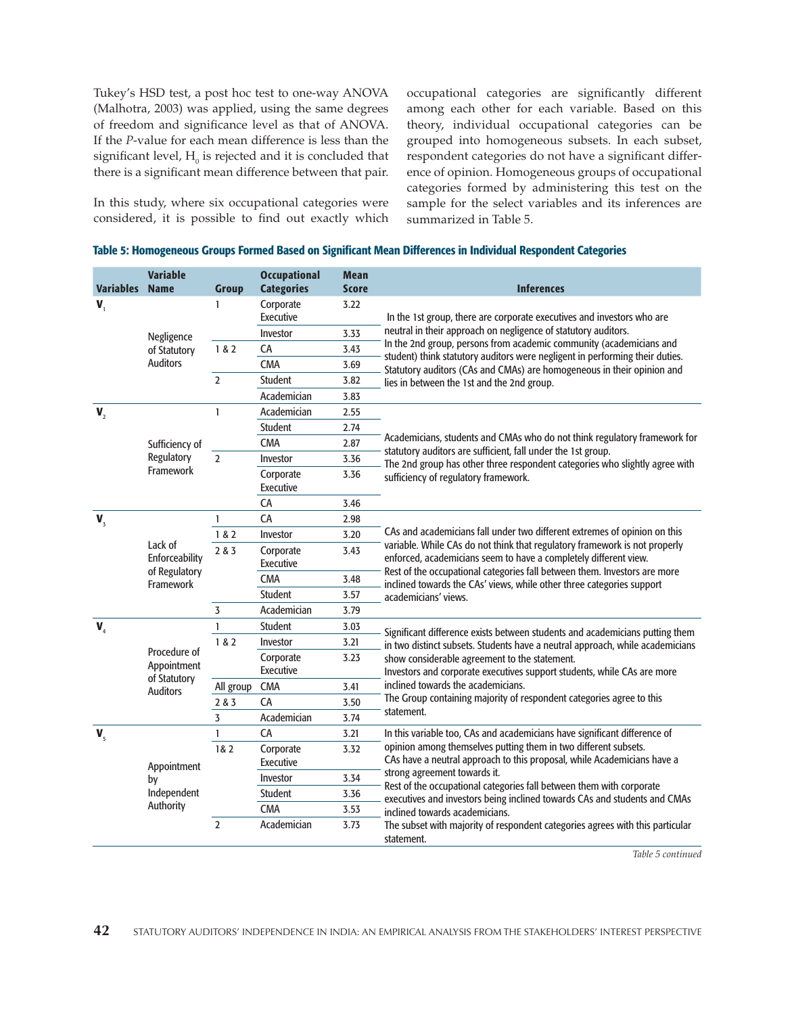Tukey's HSD test, a post hoc test to one-way ANOVA (Malhotra, 2003) was applied, using the same degrees of freedom and significance level as that of ANOVA. If the *P*-value for each mean difference is less than the significant level,  $\mathrm{H}_0$  is rejected and it is concluded that there is a significant mean difference between that pair.

In this study, where six occupational categories were considered, it is possible to find out exactly which occupational categories are significantly different among each other for each variable. Based on this theory, individual occupational categories can be grouped into homogeneous subsets. In each subset, respondent categories do not have a significant difference of opinion. Homogeneous groups of occupational categories formed by administering this test on the sample for the select variables and its inferences are summarized in Table 5.

| <b>Variables</b> | <b>Variable</b><br><b>Name</b>  | <b>Group</b>   | <b>Occupational</b><br><b>Categories</b> | <b>Mean</b><br><b>Score</b> | <b>Inferences</b>                                                                                                                                                                   |  |  |  |  |  |
|------------------|---------------------------------|----------------|------------------------------------------|-----------------------------|-------------------------------------------------------------------------------------------------------------------------------------------------------------------------------------|--|--|--|--|--|
| $\mathbf{V}_{1}$ |                                 | 1              | Corporate                                | 3.22                        |                                                                                                                                                                                     |  |  |  |  |  |
|                  |                                 |                | Executive                                |                             | In the 1st group, there are corporate executives and investors who are                                                                                                              |  |  |  |  |  |
|                  | Negligence                      |                | Investor                                 | 3.33                        | neutral in their approach on negligence of statutory auditors.                                                                                                                      |  |  |  |  |  |
|                  | of Statutory                    | 1 & 2          | CA                                       | 3.43                        | In the 2nd group, persons from academic community (academicians and                                                                                                                 |  |  |  |  |  |
|                  | <b>Auditors</b>                 |                | <b>CMA</b>                               | 3.69                        | student) think statutory auditors were negligent in performing their duties.<br>Statutory auditors (CAs and CMAs) are homogeneous in their opinion and                              |  |  |  |  |  |
|                  |                                 | $\overline{2}$ | Student                                  | 3.82                        | lies in between the 1st and the 2nd group.                                                                                                                                          |  |  |  |  |  |
|                  |                                 |                | Academician                              | 3.83                        |                                                                                                                                                                                     |  |  |  |  |  |
| $\mathbf{V}_{2}$ |                                 | $\mathbf{1}$   | Academician                              | 2.55                        |                                                                                                                                                                                     |  |  |  |  |  |
|                  |                                 |                | Student                                  | 2.74                        |                                                                                                                                                                                     |  |  |  |  |  |
|                  | Sufficiency of                  |                | <b>CMA</b>                               | 2.87                        | Academicians, students and CMAs who do not think regulatory framework for                                                                                                           |  |  |  |  |  |
|                  | Regulatory                      | $\overline{2}$ | Investor                                 | 3.36                        | statutory auditors are sufficient, fall under the 1st group.<br>The 2nd group has other three respondent categories who slightly agree with<br>sufficiency of regulatory framework. |  |  |  |  |  |
|                  | <b>Framework</b>                |                | Corporate                                | 3.36                        |                                                                                                                                                                                     |  |  |  |  |  |
|                  |                                 |                | Executive                                |                             |                                                                                                                                                                                     |  |  |  |  |  |
|                  |                                 |                | CA                                       | 3.46                        |                                                                                                                                                                                     |  |  |  |  |  |
| $V_{3}$          |                                 | $\mathbf{1}$   | CA                                       | 2.98                        |                                                                                                                                                                                     |  |  |  |  |  |
|                  | Lack of                         | 1 & 2          | Investor                                 | 3.20                        | CAs and academicians fall under two different extremes of opinion on this<br>variable. While CAs do not think that regulatory framework is not properly                             |  |  |  |  |  |
|                  | Enforceability                  | 2 & 3          | Corporate<br>Executive                   | 3.43                        | enforced, academicians seem to have a completely different view.                                                                                                                    |  |  |  |  |  |
|                  | of Regulatory<br>Framework      |                | <b>CMA</b>                               | 3.48                        | Rest of the occupational categories fall between them. Investors are more                                                                                                           |  |  |  |  |  |
|                  |                                 |                | Student                                  | 3.57                        | inclined towards the CAs' views, while other three categories support                                                                                                               |  |  |  |  |  |
|                  |                                 | 3              | Academician                              | 3.79                        | academicians' views.                                                                                                                                                                |  |  |  |  |  |
| $\mathbf{V}_{4}$ |                                 | $\mathbf{1}$   | Student                                  | 3.03                        |                                                                                                                                                                                     |  |  |  |  |  |
|                  |                                 | 1&2            | Investor                                 | 3.21                        | Significant difference exists between students and academicians putting them                                                                                                        |  |  |  |  |  |
|                  | Procedure of                    |                | Corporate                                | 3.23                        | in two distinct subsets. Students have a neutral approach, while academicians<br>show considerable agreement to the statement.                                                      |  |  |  |  |  |
|                  | Appointment                     |                | Executive                                |                             | Investors and corporate executives support students, while CAs are more                                                                                                             |  |  |  |  |  |
|                  | of Statutory<br><b>Auditors</b> | All group      | <b>CMA</b>                               | 3.41                        | inclined towards the academicians.                                                                                                                                                  |  |  |  |  |  |
|                  |                                 | 2 & 3          | CA                                       | 3.50                        | The Group containing majority of respondent categories agree to this                                                                                                                |  |  |  |  |  |
|                  |                                 | 3              | Academician                              | 3.74                        | statement.                                                                                                                                                                          |  |  |  |  |  |
| $V_{5}$          |                                 | $\mathbf{1}$   | CA                                       | 3.21                        | In this variable too, CAs and academicians have significant difference of                                                                                                           |  |  |  |  |  |
|                  |                                 | 1&2            | Corporate                                | 3.32                        | opinion among themselves putting them in two different subsets.                                                                                                                     |  |  |  |  |  |
|                  | Appointment                     |                | Executive                                |                             | CAs have a neutral approach to this proposal, while Academicians have a<br>strong agreement towards it.                                                                             |  |  |  |  |  |
|                  | by                              |                | Investor                                 | 3.34                        | Rest of the occupational categories fall between them with corporate                                                                                                                |  |  |  |  |  |
|                  | Independent                     |                | Student                                  | 3.36                        | executives and investors being inclined towards CAs and students and CMAs                                                                                                           |  |  |  |  |  |
|                  | Authority                       |                | <b>CMA</b>                               | 3.53                        | inclined towards academicians.                                                                                                                                                      |  |  |  |  |  |
|                  |                                 | $\overline{2}$ | Academician                              | 3.73                        | The subset with majority of respondent categories agrees with this particular<br>statement.                                                                                         |  |  |  |  |  |

|  | Table 5: Homogeneous Groups Formed Based on Significant Mean Differences in Individual Respondent Categories |  |
|--|--------------------------------------------------------------------------------------------------------------|--|
|  |                                                                                                              |  |

*Table 5 continued*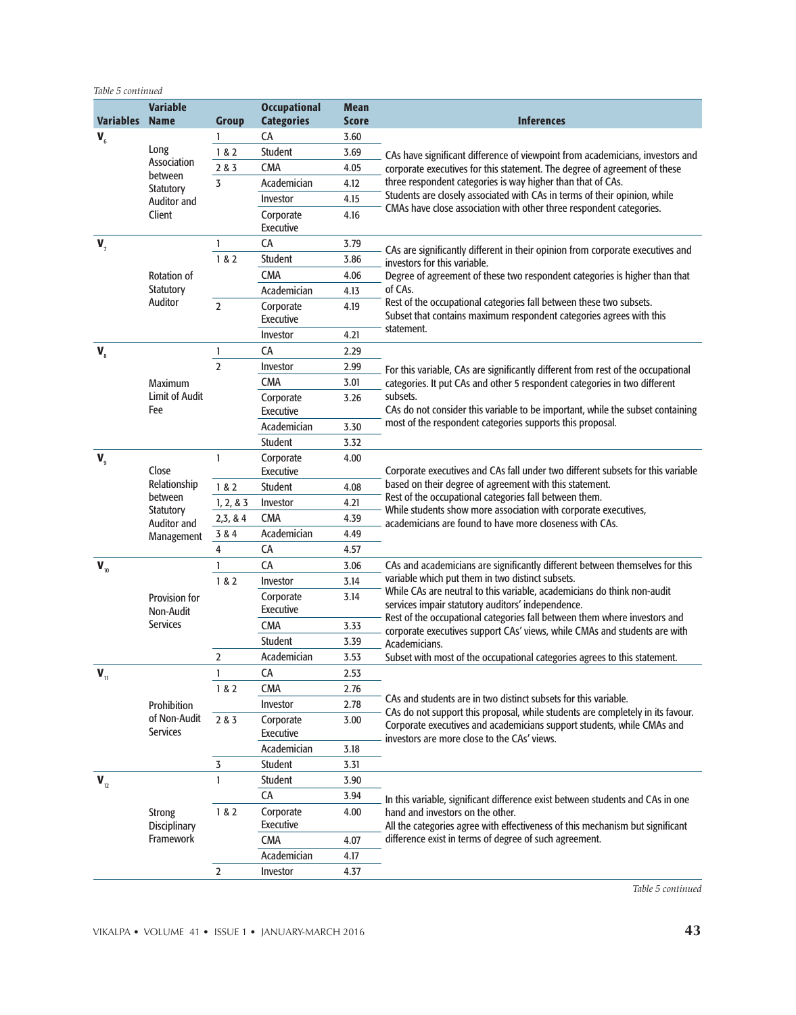| Table 5 continued |                                                   |                |                        |              |                                                                                                                                                                                                     |  |
|-------------------|---------------------------------------------------|----------------|------------------------|--------------|-----------------------------------------------------------------------------------------------------------------------------------------------------------------------------------------------------|--|
|                   | <b>Variable</b>                                   |                | <b>Occupational</b>    | <b>Mean</b>  |                                                                                                                                                                                                     |  |
| <b>Variables</b>  | <b>Name</b>                                       | <b>Group</b>   | <b>Categories</b>      | <b>Score</b> | <b>Inferences</b>                                                                                                                                                                                   |  |
| $V_{\epsilon}$    | Long<br>Association<br>between                    | 1              | CA                     | 3.60         |                                                                                                                                                                                                     |  |
|                   |                                                   | 1 & 2          | Student                | 3.69         | CAs have significant difference of viewpoint from academicians, investors and                                                                                                                       |  |
|                   |                                                   | 2 & 3          | <b>CMA</b>             | 4.05         | corporate executives for this statement. The degree of agreement of these                                                                                                                           |  |
|                   | Statutory                                         | 3              | Academician            | 4.12         | three respondent categories is way higher than that of CAs.<br>Students are closely associated with CAs in terms of their opinion, while                                                            |  |
|                   | Auditor and<br>Client                             |                | Investor               | 4.15         | CMAs have close association with other three respondent categories.                                                                                                                                 |  |
|                   |                                                   |                | Corporate<br>Executive | 4.16         |                                                                                                                                                                                                     |  |
|                   | Rotation of                                       | 1              | CA                     | 3.79         |                                                                                                                                                                                                     |  |
| $\mathbf{V}_{7}$  |                                                   | 1 & 2          | Student                | 3.86         | CAs are significantly different in their opinion from corporate executives and                                                                                                                      |  |
|                   |                                                   |                | <b>CMA</b>             | 4.06         | investors for this variable.<br>Degree of agreement of these two respondent categories is higher than that                                                                                          |  |
|                   | Statutory                                         |                | Academician            | 4.13         | of CAs.                                                                                                                                                                                             |  |
|                   | Auditor                                           | $\overline{2}$ | Corporate              | 4.19         | Rest of the occupational categories fall between these two subsets.                                                                                                                                 |  |
|                   |                                                   |                | Executive              |              | Subset that contains maximum respondent categories agrees with this                                                                                                                                 |  |
|                   |                                                   |                | Investor               | 4.21         | statement.                                                                                                                                                                                          |  |
| $V_{\rm s}$       |                                                   | 1              | CA                     | 2.29         |                                                                                                                                                                                                     |  |
|                   |                                                   | $\overline{2}$ | Investor               | 2.99         | For this variable, CAs are significantly different from rest of the occupational<br>categories. It put CAs and other 5 respondent categories in two different                                       |  |
|                   | <b>Maximum</b>                                    |                | <b>CMA</b>             | 3.01         |                                                                                                                                                                                                     |  |
|                   | <b>Limit of Audit</b>                             |                | Corporate              | 3.26         | subsets.                                                                                                                                                                                            |  |
|                   | Fee                                               |                | Executive              |              | CAs do not consider this variable to be important, while the subset containing                                                                                                                      |  |
|                   |                                                   |                | Academician            | 3.30         | most of the respondent categories supports this proposal.                                                                                                                                           |  |
|                   |                                                   |                | Student                | 3.32         |                                                                                                                                                                                                     |  |
| $V_{\rm q}$       |                                                   | $\mathbf{1}$   | Corporate              | 4.00         |                                                                                                                                                                                                     |  |
|                   | Close<br>Relationship                             |                | Executive              |              | Corporate executives and CAs fall under two different subsets for this variable<br>based on their degree of agreement with this statement.                                                          |  |
|                   | between<br>Statutory<br>Auditor and<br>Management | 1 & 2          | Student                | 4.08         | Rest of the occupational categories fall between them.                                                                                                                                              |  |
|                   |                                                   | 1, 2, 8, 3     | Investor               | 4.21         | While students show more association with corporate executives,                                                                                                                                     |  |
|                   |                                                   | 2, 3, 8, 4     | <b>CMA</b>             | 4.39         | academicians are found to have more closeness with CAs.                                                                                                                                             |  |
|                   |                                                   | 3 & 4          | Academician            | 4.49         |                                                                                                                                                                                                     |  |
|                   |                                                   | 4              | CA<br>CA               | 4.57         |                                                                                                                                                                                                     |  |
| $V_{10}$          | Provision for<br>Non-Audit<br>Services            | 1<br>1 & 2     | Investor               | 3.06<br>3.14 | CAs and academicians are significantly different between themselves for this<br>variable which put them in two distinct subsets.                                                                    |  |
|                   |                                                   |                | Corporate              | 3.14         | While CAs are neutral to this variable, academicians do think non-audit                                                                                                                             |  |
|                   |                                                   |                | Executive              |              | services impair statutory auditors' independence.                                                                                                                                                   |  |
|                   |                                                   |                | <b>CMA</b>             | 3.33         | Rest of the occupational categories fall between them where investors and                                                                                                                           |  |
|                   |                                                   |                | Student                | 3.39         | corporate executives support CAs' views, while CMAs and students are with<br>Academicians.                                                                                                          |  |
|                   |                                                   | $\overline{2}$ | Academician            | 3.53         | Subset with most of the occupational categories agrees to this statement.                                                                                                                           |  |
| $V_{11}$          |                                                   | 1              | CA                     | 2.53         |                                                                                                                                                                                                     |  |
|                   |                                                   | 1 & 2          | <b>CMA</b>             | 2.76         |                                                                                                                                                                                                     |  |
|                   | Prohibition                                       |                | Investor               | 2.78         | CAs and students are in two distinct subsets for this variable.                                                                                                                                     |  |
|                   | of Non-Audit<br>Services                          | 2 & 3          | Corporate              | 3.00         | CAs do not support this proposal, while students are completely in its favour.<br>Corporate executives and academicians support students, while CMAs and                                            |  |
|                   |                                                   |                | Executive              |              | investors are more close to the CAs' views.                                                                                                                                                         |  |
|                   |                                                   |                | Academician            | 3.18         |                                                                                                                                                                                                     |  |
|                   |                                                   | 3              | Student                | 3.31         |                                                                                                                                                                                                     |  |
| $V_{12}$          | <b>Strong</b><br>Disciplinary<br>Framework        | $\mathbf{1}$   | Student                | 3.90         | In this variable, significant difference exist between students and CAs in one<br>hand and investors on the other.<br>All the categories agree with effectiveness of this mechanism but significant |  |
|                   |                                                   |                | CA                     | 3.94         |                                                                                                                                                                                                     |  |
|                   |                                                   | 1 & 2          | Corporate              | 4.00         |                                                                                                                                                                                                     |  |
|                   |                                                   |                | Executive              |              |                                                                                                                                                                                                     |  |
|                   |                                                   |                | <b>CMA</b>             | 4.07         | difference exist in terms of degree of such agreement.                                                                                                                                              |  |
|                   |                                                   |                | Academician            | 4.17         |                                                                                                                                                                                                     |  |
|                   |                                                   | $\overline{2}$ | Investor               | 4.37         |                                                                                                                                                                                                     |  |

*Table 5 continued*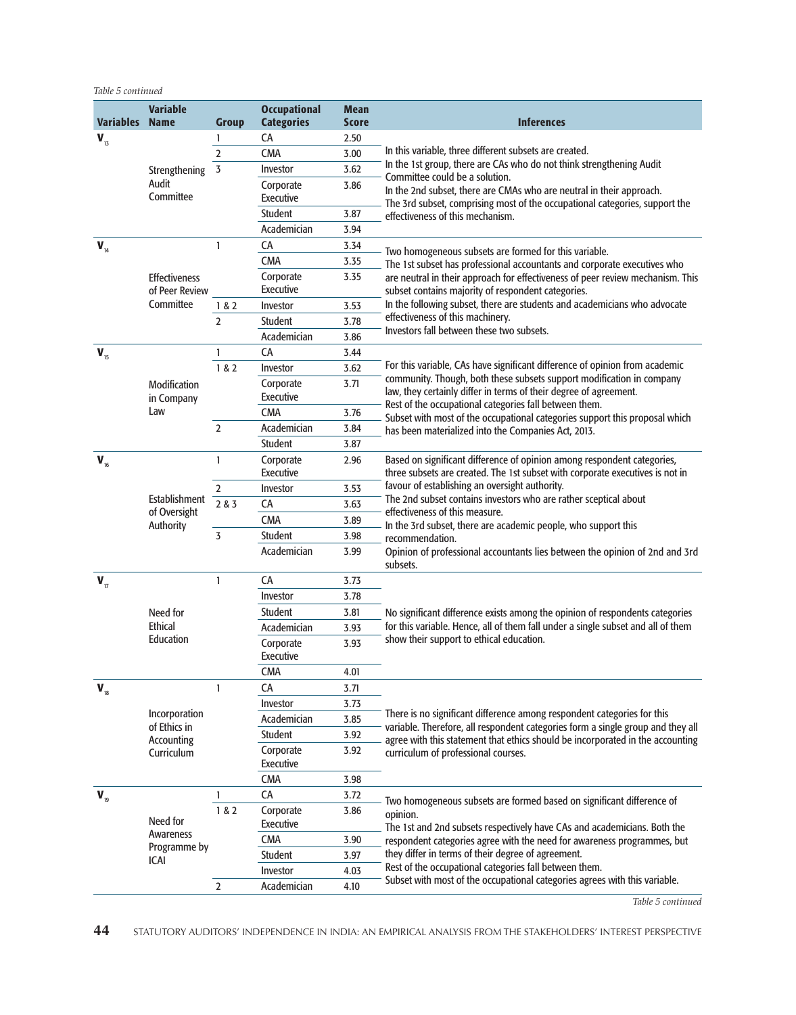|                       | Table 5 continued                             |                |                                          |                                           |                                                                                                                                                     |  |  |
|-----------------------|-----------------------------------------------|----------------|------------------------------------------|-------------------------------------------|-----------------------------------------------------------------------------------------------------------------------------------------------------|--|--|
| <b>Variables Name</b> | <b>Variable</b>                               | <b>Group</b>   | <b>Occupational</b><br><b>Categories</b> | <b>Mean</b><br><b>Score</b>               | <b>Inferences</b>                                                                                                                                   |  |  |
| $V_{13}$              |                                               | 1              | CA                                       | 2.50                                      |                                                                                                                                                     |  |  |
|                       |                                               | $\overline{2}$ | <b>CMA</b>                               | 3.00                                      | In this variable, three different subsets are created.                                                                                              |  |  |
|                       | Strengthening                                 | 3              | Investor                                 | 3.62                                      | In the 1st group, there are CAs who do not think strengthening Audit                                                                                |  |  |
|                       | Audit<br>Committee                            |                | Corporate                                | 3.86                                      | Committee could be a solution.                                                                                                                      |  |  |
|                       |                                               |                | Executive                                |                                           | In the 2nd subset, there are CMAs who are neutral in their approach.<br>The 3rd subset, comprising most of the occupational categories, support the |  |  |
|                       |                                               |                | Student                                  | 3.87                                      | effectiveness of this mechanism.                                                                                                                    |  |  |
|                       |                                               |                | Academician                              | 3.94                                      |                                                                                                                                                     |  |  |
| $V_{14}$              |                                               | $\mathbf{1}$   | CA                                       | 3.34                                      | Two homogeneous subsets are formed for this variable.                                                                                               |  |  |
|                       | <b>Effectiveness</b><br>of Peer Review        |                | <b>CMA</b>                               | 3.35                                      | The 1st subset has professional accountants and corporate executives who                                                                            |  |  |
|                       |                                               |                | Corporate                                | 3.35                                      | are neutral in their approach for effectiveness of peer review mechanism. This                                                                      |  |  |
|                       |                                               |                | Executive                                |                                           | subset contains majority of respondent categories.                                                                                                  |  |  |
|                       | Committee                                     | 1 & 2          | Investor                                 | 3.53                                      | In the following subset, there are students and academicians who advocate<br>effectiveness of this machinery.                                       |  |  |
|                       |                                               | $\overline{2}$ | 3.78<br>Student                          | Investors fall between these two subsets. |                                                                                                                                                     |  |  |
|                       |                                               |                | Academician<br>CA                        | 3.86                                      |                                                                                                                                                     |  |  |
| $V_{15}$              |                                               | 1<br>1 & 2     | Investor                                 | 3.44<br>3.62                              | For this variable, CAs have significant difference of opinion from academic                                                                         |  |  |
|                       |                                               |                |                                          | 3.71                                      | community. Though, both these subsets support modification in company                                                                               |  |  |
|                       | Modification<br>in Company                    |                | Corporate<br>Executive                   |                                           | law, they certainly differ in terms of their degree of agreement.                                                                                   |  |  |
|                       | Law                                           |                | <b>CMA</b>                               | 3.76                                      | Rest of the occupational categories fall between them.                                                                                              |  |  |
|                       |                                               | $\overline{2}$ | Academician                              | 3.84                                      | Subset with most of the occupational categories support this proposal which<br>has been materialized into the Companies Act, 2013.                  |  |  |
|                       |                                               |                | Student                                  | 3.87                                      |                                                                                                                                                     |  |  |
| $V_{16}$              |                                               | 1              | Corporate                                | 2.96                                      | Based on significant difference of opinion among respondent categories,                                                                             |  |  |
|                       |                                               |                | Executive                                |                                           | three subsets are created. The 1st subset with corporate executives is not in                                                                       |  |  |
|                       | Establishment<br>of Oversight<br>Authority    | 2              | Investor                                 | 3.53                                      | favour of establishing an oversight authority.                                                                                                      |  |  |
|                       |                                               | 2 & 3          | CA                                       | 3.63                                      | The 2nd subset contains investors who are rather sceptical about<br>effectiveness of this measure.                                                  |  |  |
|                       |                                               |                | <b>CMA</b>                               | 3.89                                      | In the 3rd subset, there are academic people, who support this                                                                                      |  |  |
|                       |                                               | 3              | Student                                  | 3.98                                      | recommendation.                                                                                                                                     |  |  |
|                       |                                               |                | Academician                              | 3.99                                      | Opinion of professional accountants lies between the opinion of 2nd and 3rd<br>subsets.                                                             |  |  |
| $V_{17}$              |                                               | $\mathbf{1}$   | CA                                       | 3.73                                      |                                                                                                                                                     |  |  |
|                       | Need for<br><b>Ethical</b><br>Education       |                | Investor                                 | 3.78                                      |                                                                                                                                                     |  |  |
|                       |                                               |                | Student                                  | 3.81                                      | No significant difference exists among the opinion of respondents categories                                                                        |  |  |
|                       |                                               |                | Academician                              | 3.93                                      | for this variable. Hence, all of them fall under a single subset and all of them<br>show their support to ethical education.                        |  |  |
|                       |                                               |                | Corporate                                | 3.93                                      |                                                                                                                                                     |  |  |
|                       |                                               |                | Executive                                |                                           |                                                                                                                                                     |  |  |
|                       |                                               |                | <b>CMA</b>                               | 4.01                                      |                                                                                                                                                     |  |  |
| $V_{18}$              | Incorporation<br>of Ethics in<br>Accounting   | $\mathbf{1}$   | CA                                       | 3.71                                      |                                                                                                                                                     |  |  |
|                       |                                               |                | Investor                                 | 3.73                                      | There is no significant difference among respondent categories for this                                                                             |  |  |
|                       |                                               |                | Academician                              | 3.85                                      | variable. Therefore, all respondent categories form a single group and they all                                                                     |  |  |
|                       |                                               |                | Student                                  | 3.92                                      | agree with this statement that ethics should be incorporated in the accounting                                                                      |  |  |
|                       | Curriculum                                    |                | Corporate<br>Executive                   | 3.92                                      | curriculum of professional courses.                                                                                                                 |  |  |
|                       |                                               |                | <b>CMA</b>                               | 3.98                                      |                                                                                                                                                     |  |  |
|                       |                                               |                | CA                                       | 3.72                                      |                                                                                                                                                     |  |  |
| $V_{19}$              | Need for<br>Awareness<br>Programme by<br>ICAI | 1<br>1 & 2     | Corporate                                | 3.86                                      | Two homogeneous subsets are formed based on significant difference of                                                                               |  |  |
|                       |                                               |                | Executive                                |                                           | opinion.<br>The 1st and 2nd subsets respectively have CAs and academicians. Both the                                                                |  |  |
|                       |                                               |                | <b>CMA</b>                               | 3.90                                      | respondent categories agree with the need for awareness programmes, but                                                                             |  |  |
|                       |                                               |                | Student                                  | 3.97                                      | they differ in terms of their degree of agreement.                                                                                                  |  |  |
|                       |                                               |                | Investor                                 | 4.03                                      | Rest of the occupational categories fall between them.                                                                                              |  |  |
|                       |                                               | $\overline{2}$ | Academician                              | 4.10                                      | Subset with most of the occupational categories agrees with this variable.                                                                          |  |  |

*Table 5 continued*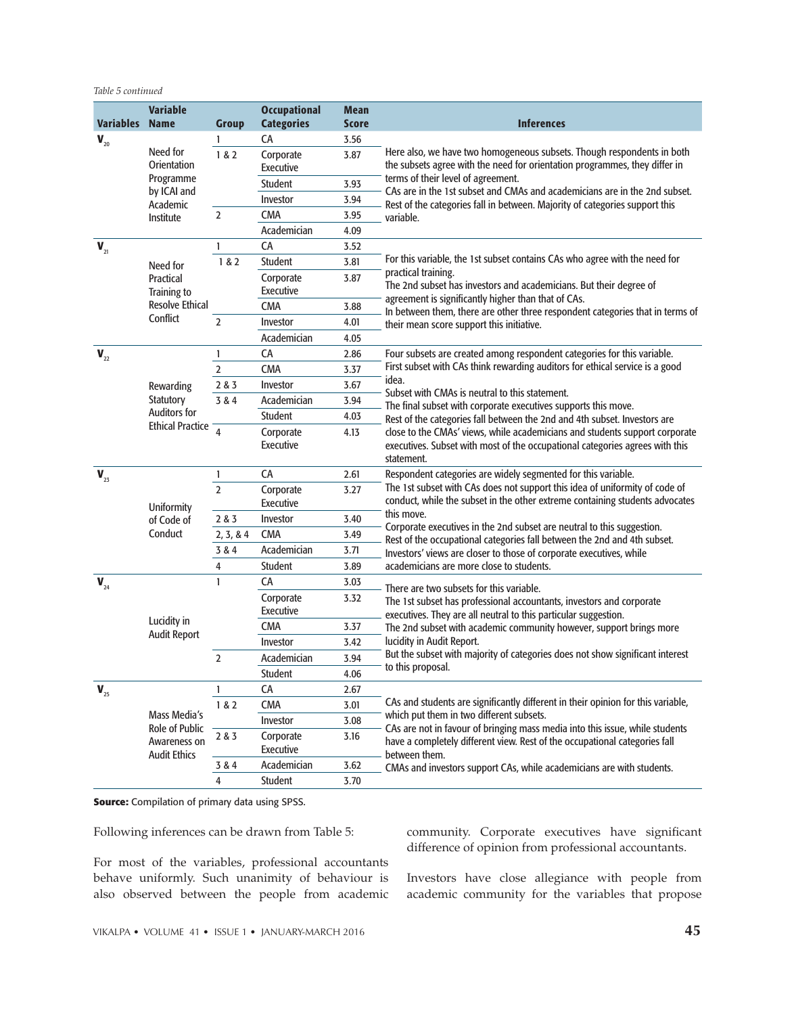#### *Table 5 continued*

| <b>Variables</b>     | <b>Variable</b><br><b>Name</b>                                        | <b>Group</b>   | <b>Occupational</b><br><b>Categories</b>              | <b>Mean</b><br><b>Score</b> | <b>Inferences</b>                                                                                                                                                                                                                                                                                                                                                    |
|----------------------|-----------------------------------------------------------------------|----------------|-------------------------------------------------------|-----------------------------|----------------------------------------------------------------------------------------------------------------------------------------------------------------------------------------------------------------------------------------------------------------------------------------------------------------------------------------------------------------------|
| $\mathbf{V}_{_{20}}$ |                                                                       | 1              | CA                                                    | 3.56                        |                                                                                                                                                                                                                                                                                                                                                                      |
|                      | Need for<br><b>Orientation</b><br>Programme                           | 1 & 2          | Corporate<br>Executive                                | 3.87                        | Here also, we have two homogeneous subsets. Though respondents in both<br>the subsets agree with the need for orientation programmes, they differ in<br>terms of their level of agreement.<br>CAs are in the 1st subset and CMAs and academicians are in the 2nd subset.<br>Rest of the categories fall in between. Majority of categories support this<br>variable. |
|                      |                                                                       |                | Student                                               | 3.93                        |                                                                                                                                                                                                                                                                                                                                                                      |
|                      | by ICAI and<br>Academic                                               |                | Investor                                              | 3.94                        |                                                                                                                                                                                                                                                                                                                                                                      |
|                      | Institute                                                             | $\overline{2}$ | <b>CMA</b>                                            | 3.95                        |                                                                                                                                                                                                                                                                                                                                                                      |
|                      |                                                                       |                | Academician                                           | 4.09                        |                                                                                                                                                                                                                                                                                                                                                                      |
| $V_{21}$             |                                                                       | 1              | CA                                                    | 3.52                        |                                                                                                                                                                                                                                                                                                                                                                      |
|                      | Need for<br>Practical<br><b>Training to</b><br><b>Resolve Ethical</b> | 1 & 2          | Student                                               | 3.81                        | For this variable, the 1st subset contains CAs who agree with the need for                                                                                                                                                                                                                                                                                           |
|                      |                                                                       |                | practical training.<br>Corporate<br>3.87<br>Executive |                             | The 2nd subset has investors and academicians. But their degree of                                                                                                                                                                                                                                                                                                   |
|                      |                                                                       |                | <b>CMA</b>                                            | 3.88                        | agreement is significantly higher than that of CAs.<br>In between them, there are other three respondent categories that in terms of                                                                                                                                                                                                                                 |
|                      | Conflict                                                              | $\overline{2}$ | Investor                                              | 4.01                        | their mean score support this initiative.                                                                                                                                                                                                                                                                                                                            |
|                      |                                                                       |                | Academician                                           | 4.05                        |                                                                                                                                                                                                                                                                                                                                                                      |
| $V_{22}$             |                                                                       | 1              | CA                                                    | 2.86                        | Four subsets are created among respondent categories for this variable.                                                                                                                                                                                                                                                                                              |
|                      |                                                                       | $\overline{2}$ | <b>CMA</b>                                            | 3.37                        | First subset with CAs think rewarding auditors for ethical service is a good                                                                                                                                                                                                                                                                                         |
|                      | Rewarding                                                             | 2 & 3          | Investor                                              | 3.67                        | idea.<br>Subset with CMAs is neutral to this statement.                                                                                                                                                                                                                                                                                                              |
|                      | Statutory                                                             | 3 & 4          | Academician                                           | 3.94                        | The final subset with corporate executives supports this move.                                                                                                                                                                                                                                                                                                       |
|                      | <b>Auditors for</b><br><b>Ethical Practice</b>                        |                | Student                                               | 4.03                        | Rest of the categories fall between the 2nd and 4th subset. Investors are<br>close to the CMAs' views, while academicians and students support corporate<br>executives. Subset with most of the occupational categories agrees with this<br>statement.                                                                                                               |
|                      |                                                                       | $\overline{4}$ | Corporate<br><b>Fxecutive</b>                         | 4.13                        |                                                                                                                                                                                                                                                                                                                                                                      |
| $V_{23}$             |                                                                       | 1              | CA                                                    | 2.61                        | Respondent categories are widely segmented for this variable.                                                                                                                                                                                                                                                                                                        |
|                      | Uniformity                                                            | $\overline{2}$ | Corporate<br>Executive                                | 3.27                        | The 1st subset with CAs does not support this idea of uniformity of code of<br>conduct, while the subset in the other extreme containing students advocates                                                                                                                                                                                                          |
|                      | of Code of                                                            | 2 & 3          | Investor                                              | 3.40                        | this move.                                                                                                                                                                                                                                                                                                                                                           |
|                      | Conduct                                                               | 2, 3, 8, 4     | <b>CMA</b>                                            | 3.49                        | Corporate executives in the 2nd subset are neutral to this suggestion.<br>Rest of the occupational categories fall between the 2nd and 4th subset.                                                                                                                                                                                                                   |
|                      |                                                                       | 3 & 4          | Academician                                           | 3.71                        | Investors' views are closer to those of corporate executives, while                                                                                                                                                                                                                                                                                                  |
|                      |                                                                       | 4              | Student                                               | 3.89                        | academicians are more close to students.                                                                                                                                                                                                                                                                                                                             |
| $V_{24}$             |                                                                       | 1              | CA                                                    | 3.03                        | There are two subsets for this variable.                                                                                                                                                                                                                                                                                                                             |
|                      |                                                                       |                | Corporate<br>Executive                                | 3.32                        | The 1st subset has professional accountants, investors and corporate<br>executives. They are all neutral to this particular suggestion.                                                                                                                                                                                                                              |
|                      | Lucidity in<br><b>Audit Report</b>                                    |                | <b>CMA</b>                                            | 3.37                        | The 2nd subset with academic community however, support brings more                                                                                                                                                                                                                                                                                                  |
|                      |                                                                       |                | Investor                                              | 3.42                        | lucidity in Audit Report.                                                                                                                                                                                                                                                                                                                                            |
|                      |                                                                       | $\overline{2}$ | Academician                                           | 3.94                        | But the subset with majority of categories does not show significant interest<br>to this proposal.                                                                                                                                                                                                                                                                   |
|                      |                                                                       |                | Student                                               | 4.06                        |                                                                                                                                                                                                                                                                                                                                                                      |
| $V_{25}$             | Mass Media's<br>Role of Public<br>Awareness on<br><b>Audit Ethics</b> | 1              | CA                                                    | 2.67                        |                                                                                                                                                                                                                                                                                                                                                                      |
|                      |                                                                       | 1 & 2          | <b>CMA</b>                                            | 3.01                        | CAs and students are significantly different in their opinion for this variable,                                                                                                                                                                                                                                                                                     |
|                      |                                                                       |                | Investor                                              | 3.08                        | which put them in two different subsets.<br>CAs are not in favour of bringing mass media into this issue, while students                                                                                                                                                                                                                                             |
|                      |                                                                       | 2 & 3          | Corporate<br>Executive                                | 3.16                        | have a completely different view. Rest of the occupational categories fall<br>between them.                                                                                                                                                                                                                                                                          |
|                      |                                                                       | 3 & 4          | Academician                                           | 3.62                        | CMAs and investors support CAs, while academicians are with students.                                                                                                                                                                                                                                                                                                |
|                      |                                                                       | 4              | Student                                               | 3.70                        |                                                                                                                                                                                                                                                                                                                                                                      |

**Source:** Compilation of primary data using SPSS.

Following inferences can be drawn from Table 5:

For most of the variables, professional accountants behave uniformly. Such unanimity of behaviour is also observed between the people from academic community. Corporate executives have significant difference of opinion from professional accountants.

Investors have close allegiance with people from academic community for the variables that propose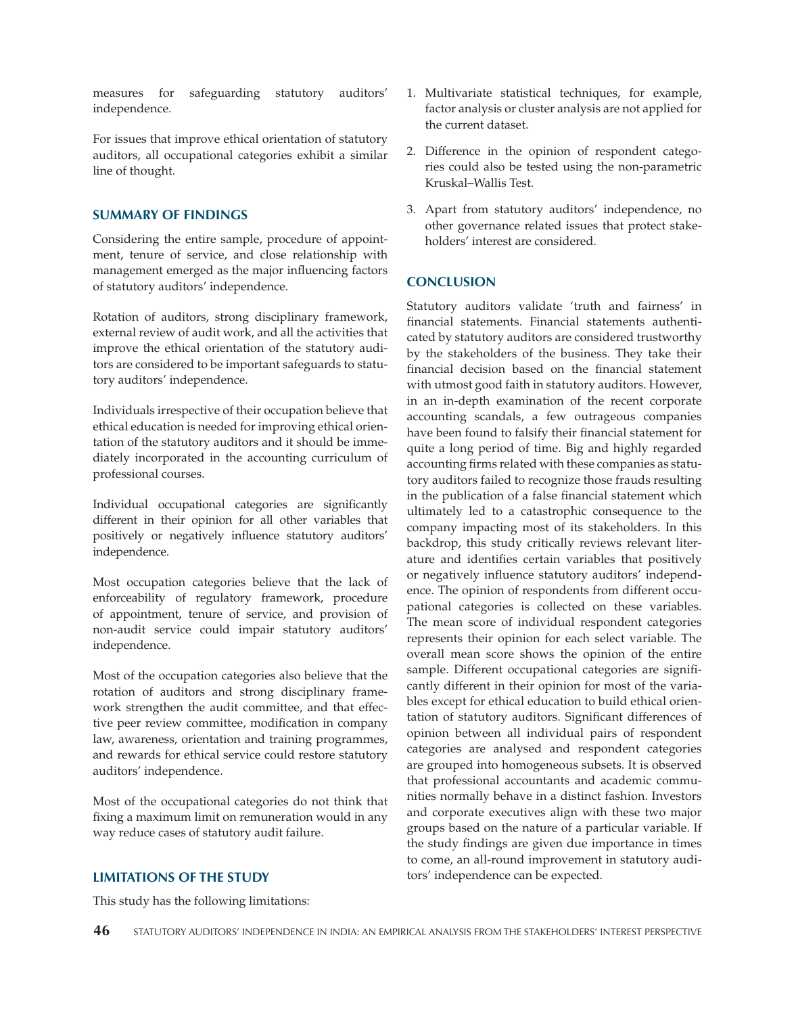measures for safeguarding statutory auditors' independence.

For issues that improve ethical orientation of statutory auditors, all occupational categories exhibit a similar line of thought.

#### **SUMMARY OF FINDINGS**

Considering the entire sample, procedure of appointment, tenure of service, and close relationship with management emerged as the major influencing factors of statutory auditors' independence.

Rotation of auditors, strong disciplinary framework, external review of audit work, and all the activities that improve the ethical orientation of the statutory auditors are considered to be important safeguards to statutory auditors' independence.

Individuals irrespective of their occupation believe that ethical education is needed for improving ethical orientation of the statutory auditors and it should be immediately incorporated in the accounting curriculum of professional courses.

Individual occupational categories are significantly different in their opinion for all other variables that positively or negatively influence statutory auditors' independence.

Most occupation categories believe that the lack of enforceability of regulatory framework, procedure of appointment, tenure of service, and provision of non-audit service could impair statutory auditors' independence.

Most of the occupation categories also believe that the rotation of auditors and strong disciplinary framework strengthen the audit committee, and that effective peer review committee, modification in company law, awareness, orientation and training programmes, and rewards for ethical service could restore statutory auditors' independence.

Most of the occupational categories do not think that fixing a maximum limit on remuneration would in any way reduce cases of statutory audit failure.

## **LIMITATIONS OF THE STUDY**

This study has the following limitations:

- 1. Multivariate statistical techniques, for example, factor analysis or cluster analysis are not applied for the current dataset.
- 2. Difference in the opinion of respondent categories could also be tested using the non-parametric Kruskal–Wallis Test.
- 3. Apart from statutory auditors' independence, no other governance related issues that protect stakeholders' interest are considered.

#### **CONCLUSION**

Statutory auditors validate 'truth and fairness' in financial statements. Financial statements authenticated by statutory auditors are considered trustworthy by the stakeholders of the business. They take their financial decision based on the financial statement with utmost good faith in statutory auditors. However, in an in-depth examination of the recent corporate accounting scandals, a few outrageous companies have been found to falsify their financial statement for quite a long period of time. Big and highly regarded accounting firms related with these companies as statutory auditors failed to recognize those frauds resulting in the publication of a false financial statement which ultimately led to a catastrophic consequence to the company impacting most of its stakeholders. In this backdrop, this study critically reviews relevant literature and identifies certain variables that positively or negatively influence statutory auditors' independence. The opinion of respondents from different occupational categories is collected on these variables. The mean score of individual respondent categories represents their opinion for each select variable. The overall mean score shows the opinion of the entire sample. Different occupational categories are significantly different in their opinion for most of the variables except for ethical education to build ethical orientation of statutory auditors. Significant differences of opinion between all individual pairs of respondent categories are analysed and respondent categories are grouped into homogeneous subsets. It is observed that professional accountants and academic communities normally behave in a distinct fashion. Investors and corporate executives align with these two major groups based on the nature of a particular variable. If the study findings are given due importance in times to come, an all-round improvement in statutory auditors' independence can be expected.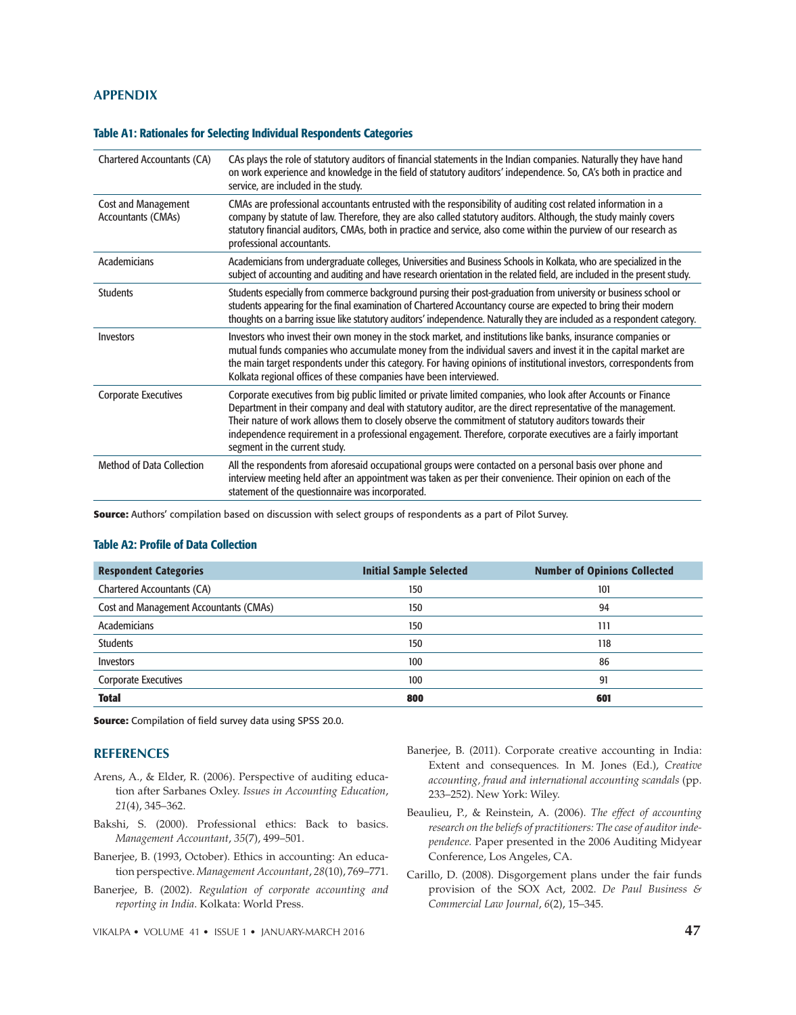#### **APPENDIX**

#### Table A1: Rationales for Selecting Individual Respondents Categories

| <b>Chartered Accountants (CA)</b>                | CAs plays the role of statutory auditors of financial statements in the Indian companies. Naturally they have hand<br>on work experience and knowledge in the field of statutory auditors' independence. So, CA's both in practice and<br>service, are included in the study.                                                                                                                                                                                                              |
|--------------------------------------------------|--------------------------------------------------------------------------------------------------------------------------------------------------------------------------------------------------------------------------------------------------------------------------------------------------------------------------------------------------------------------------------------------------------------------------------------------------------------------------------------------|
| <b>Cost and Management</b><br>Accountants (CMAs) | CMAs are professional accountants entrusted with the responsibility of auditing cost related information in a<br>company by statute of law. Therefore, they are also called statutory auditors. Although, the study mainly covers<br>statutory financial auditors, CMAs, both in practice and service, also come within the purview of our research as<br>professional accountants.                                                                                                        |
| Academicians                                     | Academicians from undergraduate colleges, Universities and Business Schools in Kolkata, who are specialized in the<br>subject of accounting and auditing and have research orientation in the related field, are included in the present study.                                                                                                                                                                                                                                            |
| <b>Students</b>                                  | Students especially from commerce background pursing their post-graduation from university or business school or<br>students appearing for the final examination of Chartered Accountancy course are expected to bring their modern<br>thoughts on a barring issue like statutory auditors' independence. Naturally they are included as a respondent category.                                                                                                                            |
| Investors                                        | Investors who invest their own money in the stock market, and institutions like banks, insurance companies or<br>mutual funds companies who accumulate money from the individual savers and invest it in the capital market are<br>the main target respondents under this category. For having opinions of institutional investors, correspondents from<br>Kolkata regional offices of these companies have been interviewed.                                                              |
| <b>Corporate Executives</b>                      | Corporate executives from big public limited or private limited companies, who look after Accounts or Finance<br>Department in their company and deal with statutory auditor, are the direct representative of the management.<br>Their nature of work allows them to closely observe the commitment of statutory auditors towards their<br>independence requirement in a professional engagement. Therefore, corporate executives are a fairly important<br>segment in the current study. |
| <b>Method of Data Collection</b>                 | All the respondents from aforesaid occupational groups were contacted on a personal basis over phone and<br>interview meeting held after an appointment was taken as per their convenience. Their opinion on each of the<br>statement of the questionnaire was incorporated.                                                                                                                                                                                                               |

**Source:** Authors' compilation based on discussion with select groups of respondents as a part of Pilot Survey.

## Table A2: Profile of Data Collection

| <b>Respondent Categories</b>                  | <b>Initial Sample Selected</b> | <b>Number of Opinions Collected</b> |
|-----------------------------------------------|--------------------------------|-------------------------------------|
| <b>Chartered Accountants (CA)</b>             | 150                            | 101                                 |
| <b>Cost and Management Accountants (CMAs)</b> | 150                            | 94                                  |
| Academicians                                  | 150                            | 111                                 |
| <b>Students</b>                               | 150                            | 118                                 |
| <b>Investors</b>                              | 100                            | 86                                  |
| <b>Corporate Executives</b>                   | 100                            | 91                                  |
| <b>Total</b>                                  | 800                            | 601                                 |

**Source:** Compilation of field survey data using SPSS 20.0.

#### **REFERENCES**

- Arens, A., & Elder, R. (2006). Perspective of auditing education after Sarbanes Oxley. *Issues in Accounting Education*, *21*(4), 345–362.
- Bakshi, S. (2000). Professional ethics: Back to basics. *Management Accountant*, *35*(7), 499–501.
- Banerjee, B. (1993, October). Ethics in accounting: An education perspective. *Management Accountant*, *28*(10), 769–771.
- Banerjee, B. (2002). *Regulation of corporate accounting and reporting in India*. Kolkata: World Press.
- Banerjee, B. (2011). Corporate creative accounting in India: Extent and consequences*.* In M. Jones (Ed.), *Creative accounting, fraud and international accounting scandals* (pp. 233–252). New York: Wiley.
- Beaulieu, P., & Reinstein, A. (2006). *The effect of accounting research on the beliefs of practitioners: The case of auditor independence.* Paper presented in the 2006 Auditing Midyear Conference, Los Angeles, CA.
- Carillo, D. (2008). Disgorgement plans under the fair funds provision of the SOX Act, 2002. *De Paul Business & Commercial Law Journal*, *6*(2), 15–345.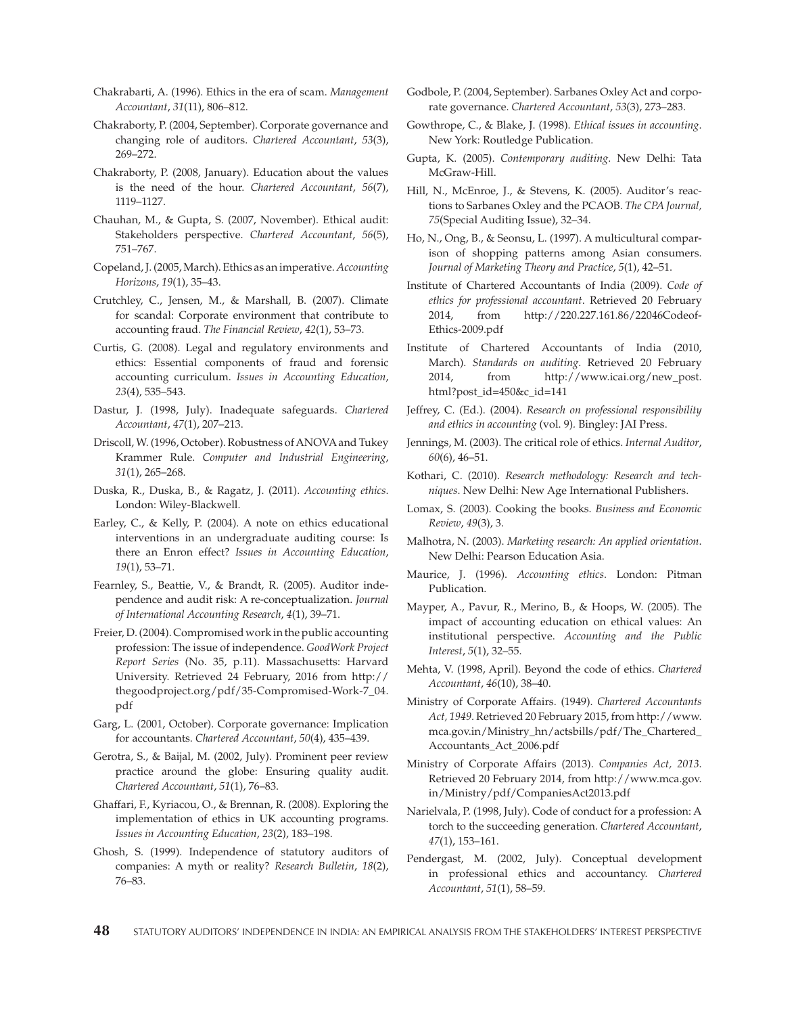- Chakrabarti, A. (1996). Ethics in the era of scam. *Management Accountant*, *31*(11), 806–812.
- Chakraborty, P. (2004, September). Corporate governance and changing role of auditors. *Chartered Accountant*, *53*(3), 269–272.
- Chakraborty, P. (2008, January). Education about the values is the need of the hour. *Chartered Accountant*, *56*(7), 1119–1127.
- Chauhan, M., & Gupta, S. (2007, November). Ethical audit: Stakeholders perspective. *Chartered Accountant*, *56*(5), 751–767.
- Copeland, J. (2005, March). Ethics as an imperative. *Accounting Horizons*, *19*(1), 35–43.
- Crutchley, C., Jensen, M., & Marshall, B. (2007). Climate for scandal: Corporate environment that contribute to accounting fraud. *The Financial Review*, *42*(1), 53–73.
- Curtis, G. (2008). Legal and regulatory environments and ethics: Essential components of fraud and forensic accounting curriculum. *Issues in Accounting Education*, *23*(4), 535–543.
- Dastur, J. (1998, July). Inadequate safeguards. *Chartered Accountant*, *47*(1), 207–213.
- Driscoll, W. (1996, October). Robustness of ANOVA and Tukey Krammer Rule. *Computer and Industrial Engineering*, *31*(1), 265–268.
- Duska, R., Duska, B., & Ragatz, J. (2011). *Accounting ethics*. London: Wiley-Blackwell.
- Earley, C., & Kelly, P. (2004). A note on ethics educational interventions in an undergraduate auditing course: Is there an Enron effect? *Issues in Accounting Education*, *19*(1), 53–71.
- Fearnley, S., Beattie, V., & Brandt, R. (2005). Auditor independence and audit risk: A re-conceptualization. *Journal of International Accounting Research*, *4*(1), 39–71.
- Freier, D. (2004). Compromised work in the public accounting profession: The issue of independence. *GoodWork Project Report Series* (No. 35, p.11). Massachusetts: Harvard University. Retrieved 24 February, 2016 from http:// thegoodproject.org/pdf/35-Compromised-Work-7\_04. pdf
- Garg, L. (2001, October). Corporate governance: Implication for accountants. *Chartered Accountant*, *50*(4), 435–439.
- Gerotra, S., & Baijal, M. (2002, July). Prominent peer review practice around the globe: Ensuring quality audit. *Chartered Accountant*, *51*(1), 76–83.
- Ghaffari, F., Kyriacou, O., & Brennan, R. (2008). Exploring the implementation of ethics in UK accounting programs. *Issues in Accounting Education*, *23*(2), 183–198.
- Ghosh, S. (1999). Independence of statutory auditors of companies: A myth or reality? *Research Bulletin*, *18*(2), 76–83.
- Godbole, P. (2004, September). Sarbanes Oxley Act and corporate governance. *Chartered Accountant*, *53*(3), 273–283.
- Gowthrope, C., & Blake, J. (1998). *Ethical issues in accounting*. New York: Routledge Publication.
- Gupta, K. (2005). *Contemporary auditing*. New Delhi: Tata McGraw-Hill.
- Hill, N., McEnroe, J., & Stevens, K. (2005). Auditor's reactions to Sarbanes Oxley and the PCAOB. *The CPA Journal, 75*(Special Auditing Issue), 32–34.
- Ho, N., Ong, B., & Seonsu, L. (1997). A multicultural comparison of shopping patterns among Asian consumers. *Journal of Marketing Theory and Practice*, *5*(1), 42–51.
- Institute of Chartered Accountants of India (2009). *Code of ethics for professional accountant*. Retrieved 20 February 2014, from http://220.227.161.86/22046Codeof-Ethics-2009.pdf
- Institute of Chartered Accountants of India (2010, March). *Standards on auditing*. Retrieved 20 February 2014, from http://www.icai.org/new\_post. html?post\_id=450&c\_id=141
- Jeffrey, C. (Ed.). (2004). *Research on professional responsibility and ethics in accounting* (vol. 9)*.* Bingley: JAI Press.
- Jennings, M. (2003). The critical role of ethics. *Internal Auditor*, *60*(6), 46–51.
- Kothari, C. (2010). *Research methodology: Research and techniques*. New Delhi: New Age International Publishers.
- Lomax, S. (2003). Cooking the books. *Business and Economic Review*, *49*(3), 3.
- Malhotra, N. (2003). *Marketing research: An applied orientation*. New Delhi: Pearson Education Asia.
- Maurice, J. (1996). *Accounting ethics*. London: Pitman Publication.
- Mayper, A., Pavur, R., Merino, B., & Hoops, W. (2005). The impact of accounting education on ethical values: An institutional perspective. *Accounting and the Public Interest*, *5*(1), 32–55.
- Mehta, V. (1998, April). Beyond the code of ethics. *Chartered Accountant*, *46*(10), 38–40.
- Ministry of Corporate Affairs. (1949). *Chartered Accountants Act, 1949*. Retrieved 20 February 2015, from http://www. mca.gov.in/Ministry\_hn/actsbills/pdf/The\_Chartered\_ Accountants\_Act\_2006.pdf
- Ministry of Corporate Affairs (2013). *Companies Act, 2013*. Retrieved 20 February 2014, from http://www.mca.gov. in/Ministry/pdf/CompaniesAct2013.pdf
- Narielvala, P. (1998, July). Code of conduct for a profession: A torch to the succeeding generation. *Chartered Accountant*, *47*(1), 153–161.
- Pendergast, M. (2002, July). Conceptual development in professional ethics and accountancy. *Chartered Accountant*, *51*(1), 58–59.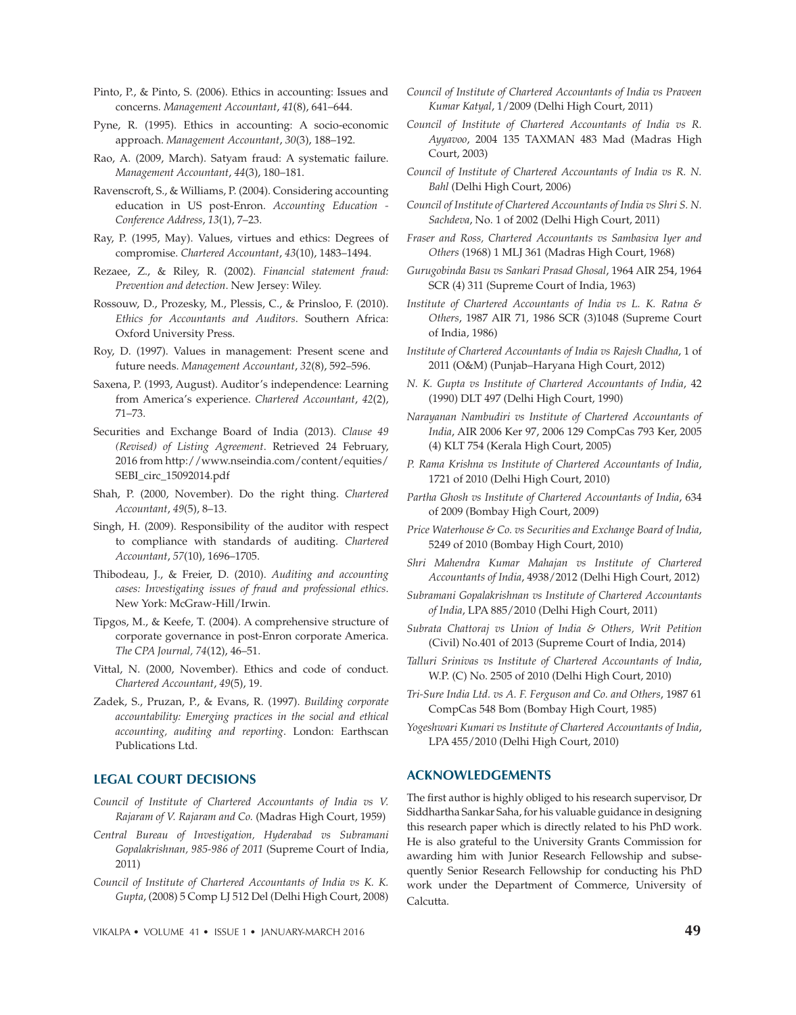- Pinto, P., & Pinto, S. (2006). Ethics in accounting: Issues and concerns. *Management Accountant*, *41*(8), 641–644.
- Pyne, R. (1995). Ethics in accounting: A socio-economic approach. *Management Accountant*, *30*(3), 188–192.
- Rao, A. (2009, March). Satyam fraud: A systematic failure. *Management Accountant*, *44*(3), 180–181.
- Ravenscroft, S., & Williams, P. (2004). Considering accounting education in US post-Enron. *Accounting Education - Conference Address*, *13*(1), 7–23.
- Ray, P. (1995, May). Values, virtues and ethics: Degrees of compromise. *Chartered Accountant*, *43*(10), 1483–1494.
- Rezaee, Z., & Riley, R. (2002). *Financial statement fraud: Prevention and detection*. New Jersey: Wiley.
- Rossouw, D., Prozesky, M., Plessis, C., & Prinsloo, F. (2010). *Ethics for Accountants and Auditors*. Southern Africa: Oxford University Press.
- Roy, D. (1997). Values in management: Present scene and future needs. *Management Accountant*, *32*(8), 592–596.
- Saxena, P. (1993, August). Auditor's independence: Learning from America's experience. *Chartered Accountant*, *42*(2), 71–73.
- Securities and Exchange Board of India (2013). *Clause 49 (Revised) of Listing Agreement*. Retrieved 24 February, 2016 from http://www.nseindia.com/content/equities/ SEBI\_circ\_15092014.pdf
- Shah, P. (2000, November). Do the right thing. *Chartered Accountant*, *49*(5), 8–13.
- Singh, H. (2009). Responsibility of the auditor with respect to compliance with standards of auditing. *Chartered Accountant*, *57*(10), 1696–1705.
- Thibodeau, J., & Freier, D. (2010). *Auditing and accounting cases: Investigating issues of fraud and professional ethics*. New York: McGraw-Hill/Irwin.
- Tipgos, M., & Keefe, T. (2004). A comprehensive structure of corporate governance in post-Enron corporate America. *The CPA Journal, 74*(12), 46–51.
- Vittal, N. (2000, November). Ethics and code of conduct. *Chartered Accountant*, *49*(5), 19.
- Zadek, S., Pruzan, P., & Evans, R. (1997). *Building corporate accountability: Emerging practices in the social and ethical accounting, auditing and reporting*. London: Earthscan Publications Ltd.

#### **LEGAL COURT DECISIONS**

- *Council of Institute of Chartered Accountants of India vs V. Rajaram of V. Rajaram and Co.* (Madras High Court, 1959)
- *Central Bureau of Investigation, Hyderabad vs Subramani Gopalakrishnan, 985-986 of 2011* (Supreme Court of India, 2011)
- *Council of Institute of Chartered Accountants of India vs K. K. Gupta*, (2008) 5 Comp LJ 512 Del (Delhi High Court, 2008)
- *Council of Institute of Chartered Accountants of India vs Praveen Kumar Katyal*, 1/2009 (Delhi High Court, 2011)
- *Council of Institute of Chartered Accountants of India vs R. Ayyavoo*, 2004 135 TAXMAN 483 Mad (Madras High Court, 2003)
- *Council of Institute of Chartered Accountants of India vs R. N. Bahl* (Delhi High Court, 2006)
- *Council of Institute of Chartered Accountants of India vs Shri S. N. Sachdeva*, No. 1 of 2002 (Delhi High Court, 2011)
- *Fraser and Ross, Chartered Accountants vs Sambasiva Iyer and Others* (1968) 1 MLJ 361 (Madras High Court, 1968)
- *Gurugobinda Basu vs Sankari Prasad Ghosal*, 1964 AIR 254, 1964 SCR (4) 311 (Supreme Court of India, 1963)
- *Institute of Chartered Accountants of India vs L. K. Ratna & Others*, 1987 AIR 71, 1986 SCR (3)1048 (Supreme Court of India, 1986)
- *Institute of Chartered Accountants of India vs Rajesh Chadha*, 1 of 2011 (O&M) (Punjab–Haryana High Court, 2012)
- *N. K. Gupta vs Institute of Chartered Accountants of India*, 42 (1990) DLT 497 (Delhi High Court, 1990)
- *Narayanan Nambudiri vs Institute of Chartered Accountants of India*, AIR 2006 Ker 97, 2006 129 CompCas 793 Ker, 2005 (4) KLT 754 (Kerala High Court, 2005)
- *P. Rama Krishna vs Institute of Chartered Accountants of India*, 1721 of 2010 (Delhi High Court, 2010)
- *Partha Ghosh vs Institute of Chartered Accountants of India*, 634 of 2009 (Bombay High Court, 2009)
- *Price Waterhouse & Co. vs Securities and Exchange Board of India*, 5249 of 2010 (Bombay High Court, 2010)
- *Shri Mahendra Kumar Mahajan vs Institute of Chartered Accountants of India*, 4938/2012 (Delhi High Court, 2012)
- *Subramani Gopalakrishnan vs Institute of Chartered Accountants of India*, LPA 885/2010 (Delhi High Court, 2011)
- *Subrata Chattoraj vs Union of India & Others, Writ Petition* (Civil) No.401 of 2013 (Supreme Court of India, 2014)
- *Talluri Srinivas vs Institute of Chartered Accountants of India*, W.P. (C) No. 2505 of 2010 (Delhi High Court, 2010)
- *Tri-Sure India Ltd. vs A. F. Ferguson and Co. and Others*, 1987 61 CompCas 548 Bom (Bombay High Court, 1985)
- *Yogeshwari Kumari vs Institute of Chartered Accountants of India*, LPA 455/2010 (Delhi High Court, 2010)

#### **ACKNOWLEDGEMENTS**

The first author is highly obliged to his research supervisor, Dr Siddhartha Sankar Saha, for his valuable guidance in designing this research paper which is directly related to his PhD work. He is also grateful to the University Grants Commission for awarding him with Junior Research Fellowship and subsequently Senior Research Fellowship for conducting his PhD work under the Department of Commerce, University of Calcutta.